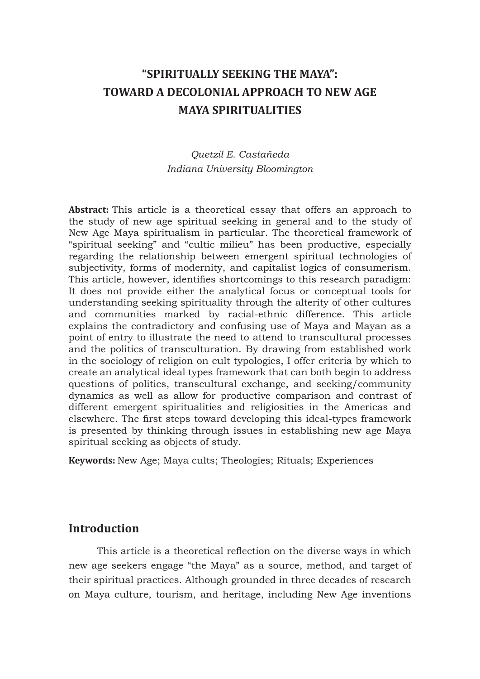# **"SPIRITUALLY SEEKING THE MAYA": TOWARD A DECOLONIAL APPROACH TO NEW AGE MAYA SPIRITUALITIES**

## *Quetzil E. Castañeda Indiana University Bloomington*

**Abstract:** This article is a theoretical essay that offers an approach to the study of new age spiritual seeking in general and to the study of New Age Maya spiritualism in particular. The theoretical framework of "spiritual seeking" and "cultic milieu" has been productive, especially regarding the relationship between emergent spiritual technologies of subjectivity, forms of modernity, and capitalist logics of consumerism. This article, however, identifies shortcomings to this research paradigm: It does not provide either the analytical focus or conceptual tools for understanding seeking spirituality through the alterity of other cultures and communities marked by racial-ethnic difference. This article explains the contradictory and confusing use of Maya and Mayan as a point of entry to illustrate the need to attend to transcultural processes and the politics of transculturation. By drawing from established work in the sociology of religion on cult typologies, I offer criteria by which to create an analytical ideal types framework that can both begin to address questions of politics, transcultural exchange, and seeking/community dynamics as well as allow for productive comparison and contrast of different emergent spiritualities and religiosities in the Americas and elsewhere. The first steps toward developing this ideal-types framework is presented by thinking through issues in establishing new age Maya spiritual seeking as objects of study.

**Keywords:** New Age; Maya cults; Theologies; Rituals; Experiences

### **Introduction**

This article is a theoretical reflection on the diverse ways in which new age seekers engage "the Maya" as a source, method, and target of their spiritual practices. Although grounded in three decades of research on Maya culture, tourism, and heritage, including New Age inventions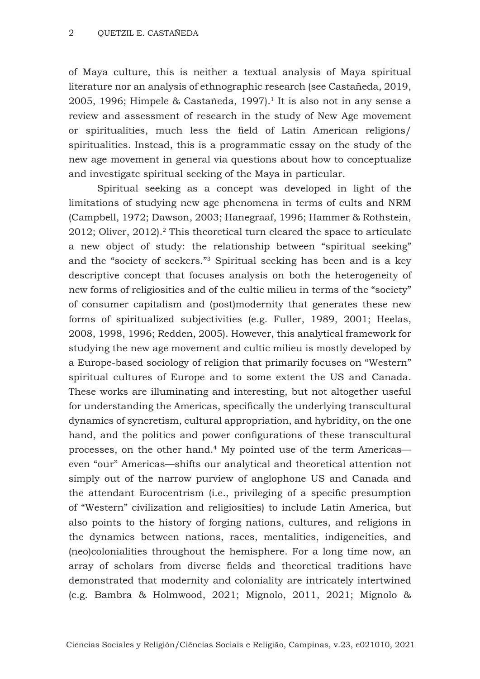of Maya culture, this is neither a textual analysis of Maya spiritual literature nor an analysis of ethnographic research (see Castañeda, 2019, 2005, 1996; Himpele & Castañeda, 1997).<sup>1</sup> It is also not in any sense a review and assessment of research in the study of New Age movement or spiritualities, much less the field of Latin American religions/ spiritualities. Instead, this is a programmatic essay on the study of the new age movement in general via questions about how to conceptualize and investigate spiritual seeking of the Maya in particular.

Spiritual seeking as a concept was developed in light of the limitations of studying new age phenomena in terms of cults and NRM (Campbell, 1972; Dawson, 2003; Hanegraaf, 1996; Hammer & Rothstein,  $2012$ ; Oliver,  $2012$ ).<sup>2</sup> This theoretical turn cleared the space to articulate a new object of study: the relationship between "spiritual seeking" and the "society of seekers."3 Spiritual seeking has been and is a key descriptive concept that focuses analysis on both the heterogeneity of new forms of religiosities and of the cultic milieu in terms of the "society" of consumer capitalism and (post)modernity that generates these new forms of spiritualized subjectivities (e.g. Fuller, 1989, 2001; Heelas, 2008, 1998, 1996; Redden, 2005). However, this analytical framework for studying the new age movement and cultic milieu is mostly developed by a Europe-based sociology of religion that primarily focuses on "Western" spiritual cultures of Europe and to some extent the US and Canada. These works are illuminating and interesting, but not altogether useful for understanding the Americas, specifically the underlying transcultural dynamics of syncretism, cultural appropriation, and hybridity, on the one hand, and the politics and power configurations of these transcultural processes, on the other hand.4 My pointed use of the term Americas even "our" Americas—shifts our analytical and theoretical attention not simply out of the narrow purview of anglophone US and Canada and the attendant Eurocentrism (i.e., privileging of a specific presumption of "Western" civilization and religiosities) to include Latin America, but also points to the history of forging nations, cultures, and religions in the dynamics between nations, races, mentalities, indigeneities, and (neo)colonialities throughout the hemisphere. For a long time now, an array of scholars from diverse fields and theoretical traditions have demonstrated that modernity and coloniality are intricately intertwined (e.g. Bambra & Holmwood, 2021; Mignolo, 2011, 2021; Mignolo &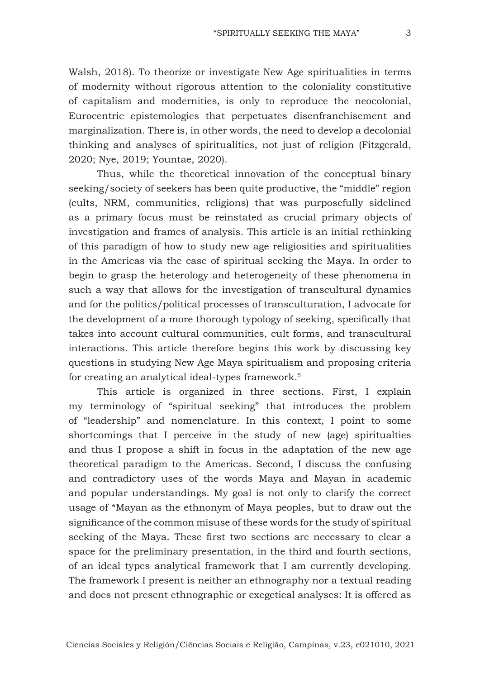Walsh, 2018). To theorize or investigate New Age spiritualities in terms of modernity without rigorous attention to the coloniality constitutive of capitalism and modernities, is only to reproduce the neocolonial, Eurocentric epistemologies that perpetuates disenfranchisement and marginalization. There is, in other words, the need to develop a decolonial thinking and analyses of spiritualities, not just of religion (Fitzgerald, 2020; Nye, 2019; Yountae, 2020).

Thus, while the theoretical innovation of the conceptual binary seeking/society of seekers has been quite productive, the "middle" region (cults, NRM, communities, religions) that was purposefully sidelined as a primary focus must be reinstated as crucial primary objects of investigation and frames of analysis. This article is an initial rethinking of this paradigm of how to study new age religiosities and spiritualities in the Americas via the case of spiritual seeking the Maya. In order to begin to grasp the heterology and heterogeneity of these phenomena in such a way that allows for the investigation of transcultural dynamics and for the politics/political processes of transculturation, I advocate for the development of a more thorough typology of seeking, specifically that takes into account cultural communities, cult forms, and transcultural interactions. This article therefore begins this work by discussing key questions in studying New Age Maya spiritualism and proposing criteria for creating an analytical ideal-types framework.5

This article is organized in three sections. First, I explain my terminology of "spiritual seeking" that introduces the problem of "leadership" and nomenclature. In this context, I point to some shortcomings that I perceive in the study of new (age) spiritualties and thus I propose a shift in focus in the adaptation of the new age theoretical paradigm to the Americas. Second, I discuss the confusing and contradictory uses of the words Maya and Mayan in academic and popular understandings. My goal is not only to clarify the correct usage of \*Mayan as the ethnonym of Maya peoples, but to draw out the significance of the common misuse of these words for the study of spiritual seeking of the Maya. These first two sections are necessary to clear a space for the preliminary presentation, in the third and fourth sections, of an ideal types analytical framework that I am currently developing. The framework I present is neither an ethnography nor a textual reading and does not present ethnographic or exegetical analyses: It is offered as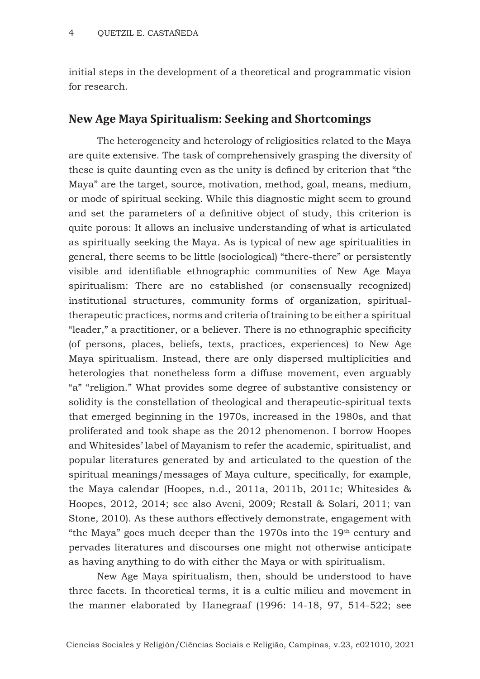initial steps in the development of a theoretical and programmatic vision for research.

### **New Age Maya Spiritualism: Seeking and Shortcomings**

The heterogeneity and heterology of religiosities related to the Maya are quite extensive. The task of comprehensively grasping the diversity of these is quite daunting even as the unity is defined by criterion that "the Maya" are the target, source, motivation, method, goal, means, medium, or mode of spiritual seeking. While this diagnostic might seem to ground and set the parameters of a definitive object of study, this criterion is quite porous: It allows an inclusive understanding of what is articulated as spiritually seeking the Maya. As is typical of new age spiritualities in general, there seems to be little (sociological) "there-there" or persistently visible and identifiable ethnographic communities of New Age Maya spiritualism: There are no established (or consensually recognized) institutional structures, community forms of organization, spiritualtherapeutic practices, norms and criteria of training to be either a spiritual "leader," a practitioner, or a believer. There is no ethnographic specificity (of persons, places, beliefs, texts, practices, experiences) to New Age Maya spiritualism. Instead, there are only dispersed multiplicities and heterologies that nonetheless form a diffuse movement, even arguably "a" "religion." What provides some degree of substantive consistency or solidity is the constellation of theological and therapeutic-spiritual texts that emerged beginning in the 1970s, increased in the 1980s, and that proliferated and took shape as the 2012 phenomenon. I borrow Hoopes and Whitesides' label of Mayanism to refer the academic, spiritualist, and popular literatures generated by and articulated to the question of the spiritual meanings/messages of Maya culture, specifically, for example, the Maya calendar (Hoopes, n.d., 2011a, 2011b, 2011c; Whitesides & Hoopes, 2012, 2014; see also Aveni, 2009; Restall & Solari, 2011; van Stone, 2010). As these authors effectively demonstrate, engagement with "the Maya" goes much deeper than the  $1970s$  into the  $19<sup>th</sup>$  century and pervades literatures and discourses one might not otherwise anticipate as having anything to do with either the Maya or with spiritualism.

New Age Maya spiritualism, then, should be understood to have three facets. In theoretical terms, it is a cultic milieu and movement in the manner elaborated by Hanegraaf (1996: 14-18, 97, 514-522; see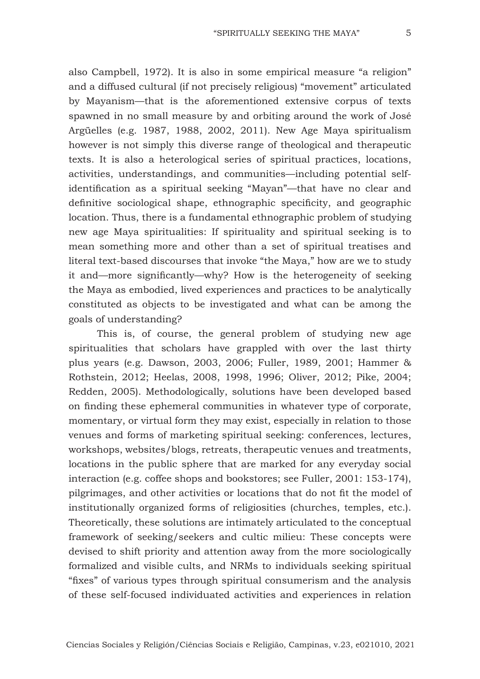also Campbell, 1972). It is also in some empirical measure "a religion" and a diffused cultural (if not precisely religious) "movement" articulated by Mayanism—that is the aforementioned extensive corpus of texts spawned in no small measure by and orbiting around the work of José Argüelles (e.g. 1987, 1988, 2002, 2011). New Age Maya spiritualism however is not simply this diverse range of theological and therapeutic texts. It is also a heterological series of spiritual practices, locations, activities, understandings, and communities—including potential selfidentification as a spiritual seeking "Mayan"—that have no clear and definitive sociological shape, ethnographic specificity, and geographic location. Thus, there is a fundamental ethnographic problem of studying new age Maya spiritualities: If spirituality and spiritual seeking is to mean something more and other than a set of spiritual treatises and literal text-based discourses that invoke "the Maya," how are we to study it and—more significantly—why? How is the heterogeneity of seeking the Maya as embodied, lived experiences and practices to be analytically constituted as objects to be investigated and what can be among the goals of understanding?

This is, of course, the general problem of studying new age spiritualities that scholars have grappled with over the last thirty plus years (e.g. Dawson, 2003, 2006; Fuller, 1989, 2001; Hammer & Rothstein, 2012; Heelas, 2008, 1998, 1996; Oliver, 2012; Pike, 2004; Redden, 2005). Methodologically, solutions have been developed based on finding these ephemeral communities in whatever type of corporate, momentary, or virtual form they may exist, especially in relation to those venues and forms of marketing spiritual seeking: conferences, lectures, workshops, websites/blogs, retreats, therapeutic venues and treatments, locations in the public sphere that are marked for any everyday social interaction (e.g. coffee shops and bookstores; see Fuller, 2001: 153-174), pilgrimages, and other activities or locations that do not fit the model of institutionally organized forms of religiosities (churches, temples, etc.). Theoretically, these solutions are intimately articulated to the conceptual framework of seeking/seekers and cultic milieu: These concepts were devised to shift priority and attention away from the more sociologically formalized and visible cults, and NRMs to individuals seeking spiritual "fixes" of various types through spiritual consumerism and the analysis of these self-focused individuated activities and experiences in relation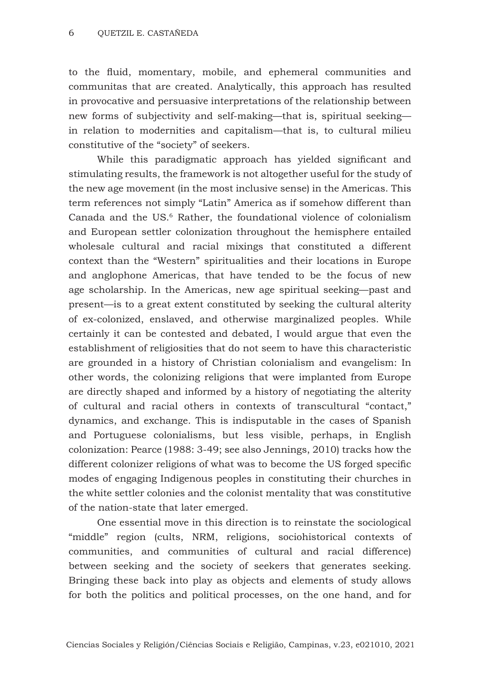to the fluid, momentary, mobile, and ephemeral communities and communitas that are created. Analytically, this approach has resulted in provocative and persuasive interpretations of the relationship between new forms of subjectivity and self-making—that is, spiritual seeking in relation to modernities and capitalism—that is, to cultural milieu constitutive of the "society" of seekers.

While this paradigmatic approach has yielded significant and stimulating results, the framework is not altogether useful for the study of the new age movement (in the most inclusive sense) in the Americas. This term references not simply "Latin" America as if somehow different than Canada and the US.<sup>6</sup> Rather, the foundational violence of colonialism and European settler colonization throughout the hemisphere entailed wholesale cultural and racial mixings that constituted a different context than the "Western" spiritualities and their locations in Europe and anglophone Americas, that have tended to be the focus of new age scholarship. In the Americas, new age spiritual seeking—past and present—is to a great extent constituted by seeking the cultural alterity of ex-colonized, enslaved, and otherwise marginalized peoples. While certainly it can be contested and debated, I would argue that even the establishment of religiosities that do not seem to have this characteristic are grounded in a history of Christian colonialism and evangelism: In other words, the colonizing religions that were implanted from Europe are directly shaped and informed by a history of negotiating the alterity of cultural and racial others in contexts of transcultural "contact," dynamics, and exchange. This is indisputable in the cases of Spanish and Portuguese colonialisms, but less visible, perhaps, in English colonization: Pearce (1988: 3-49; see also Jennings, 2010) tracks how the different colonizer religions of what was to become the US forged specific modes of engaging Indigenous peoples in constituting their churches in the white settler colonies and the colonist mentality that was constitutive of the nation-state that later emerged.

One essential move in this direction is to reinstate the sociological "middle" region (cults, NRM, religions, sociohistorical contexts of communities, and communities of cultural and racial difference) between seeking and the society of seekers that generates seeking. Bringing these back into play as objects and elements of study allows for both the politics and political processes, on the one hand, and for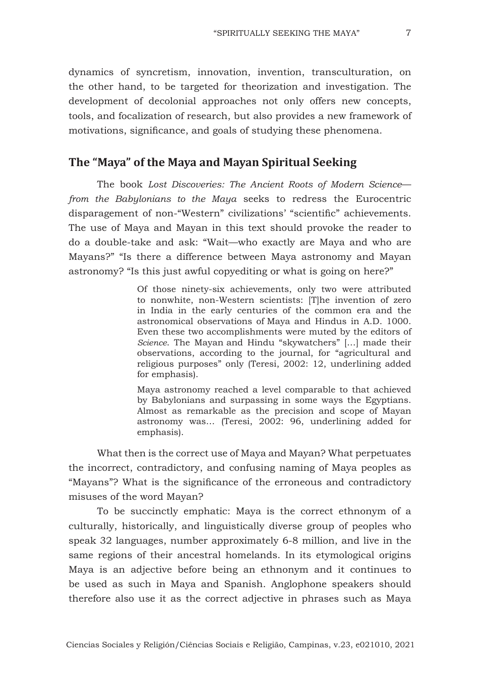dynamics of syncretism, innovation, invention, transculturation, on the other hand, to be targeted for theorization and investigation. The development of decolonial approaches not only offers new concepts, tools, and focalization of research, but also provides a new framework of motivations, significance, and goals of studying these phenomena.

#### **The "Maya" of the Maya and Mayan Spiritual Seeking**

The book *Lost Discoveries: The Ancient Roots of Modern Science from the Babylonians to the Maya* seeks to redress the Eurocentric disparagement of non-"Western" civilizations' "scientific" achievements. The use of Maya and Mayan in this text should provoke the reader to do a double-take and ask: "Wait—who exactly are Maya and who are Mayans?" "Is there a difference between Maya astronomy and Mayan astronomy? "Is this just awful copyediting or what is going on here?"

> Of those ninety-six achievements, only two were attributed to nonwhite, non-Western scientists: [T]he invention of zero in India in the early centuries of the common era and the astronomical observations of Maya and Hindus in A.D. 1000. Even these two accomplishments were muted by the editors of *Science*. The Mayan and Hindu "skywatchers" […] made their observations, according to the journal, for "agricultural and religious purposes" only (Teresi, 2002: 12, underlining added for emphasis).

> Maya astronomy reached a level comparable to that achieved by Babylonians and surpassing in some ways the Egyptians. Almost as remarkable as the precision and scope of Mayan astronomy was… (Teresi, 2002: 96, underlining added for emphasis).

What then is the correct use of Maya and Mayan? What perpetuates the incorrect, contradictory, and confusing naming of Maya peoples as "Mayans"? What is the significance of the erroneous and contradictory misuses of the word Mayan?

To be succinctly emphatic: Maya is the correct ethnonym of a culturally, historically, and linguistically diverse group of peoples who speak 32 languages, number approximately 6-8 million, and live in the same regions of their ancestral homelands. In its etymological origins Maya is an adjective before being an ethnonym and it continues to be used as such in Maya and Spanish. Anglophone speakers should therefore also use it as the correct adjective in phrases such as Maya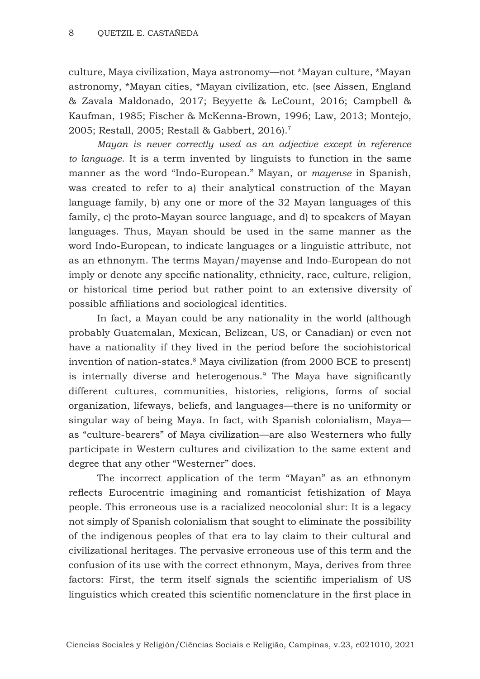culture, Maya civilization, Maya astronomy—not \*Mayan culture, \*Mayan astronomy, \*Mayan cities, \*Mayan civilization, etc. (see Aissen, England & Zavala Maldonado, 2017; Beyyette & LeCount, 2016; Campbell & Kaufman, 1985; Fischer & McKenna-Brown, 1996; Law, 2013; Montejo, 2005; Restall, 2005; Restall & Gabbert, 2016).7

*Mayan is never correctly used as an adjective except in reference to language*. It is a term invented by linguists to function in the same manner as the word "Indo-European." Mayan, or *mayense* in Spanish, was created to refer to a) their analytical construction of the Mayan language family, b) any one or more of the 32 Mayan languages of this family, c) the proto-Mayan source language, and d) to speakers of Mayan languages. Thus, Mayan should be used in the same manner as the word Indo-European, to indicate languages or a linguistic attribute, not as an ethnonym. The terms Mayan/mayense and Indo-European do not imply or denote any specific nationality, ethnicity, race, culture, religion, or historical time period but rather point to an extensive diversity of possible affiliations and sociological identities.

In fact, a Mayan could be any nationality in the world (although probably Guatemalan, Mexican, Belizean, US, or Canadian) or even not have a nationality if they lived in the period before the sociohistorical invention of nation-states.8 Maya civilization (from 2000 BCE to present) is internally diverse and heterogenous.<sup>9</sup> The Maya have significantly different cultures, communities, histories, religions, forms of social organization, lifeways, beliefs, and languages—there is no uniformity or singular way of being Maya. In fact, with Spanish colonialism, Maya as "culture-bearers" of Maya civilization—are also Westerners who fully participate in Western cultures and civilization to the same extent and degree that any other "Westerner" does.

The incorrect application of the term "Mayan" as an ethnonym reflects Eurocentric imagining and romanticist fetishization of Maya people. This erroneous use is a racialized neocolonial slur: It is a legacy not simply of Spanish colonialism that sought to eliminate the possibility of the indigenous peoples of that era to lay claim to their cultural and civilizational heritages. The pervasive erroneous use of this term and the confusion of its use with the correct ethnonym, Maya, derives from three factors: First, the term itself signals the scientific imperialism of US linguistics which created this scientific nomenclature in the first place in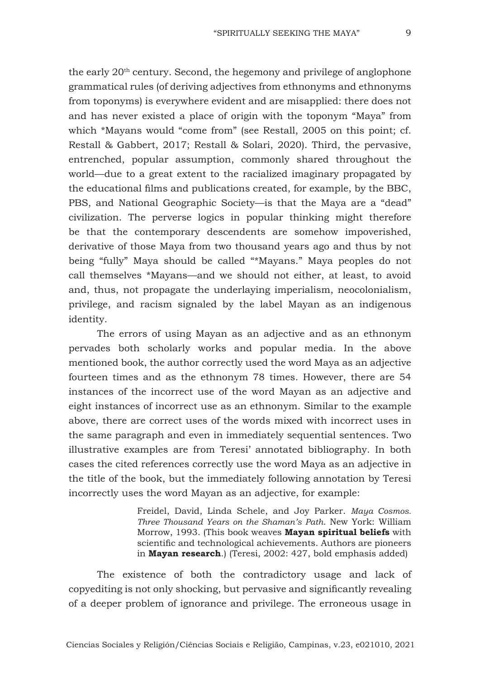the early 20<sup>th</sup> century. Second, the hegemony and privilege of anglophone grammatical rules (of deriving adjectives from ethnonyms and ethnonyms from toponyms) is everywhere evident and are misapplied: there does not and has never existed a place of origin with the toponym "Maya" from which \*Mayans would "come from" (see Restall, 2005 on this point; cf. Restall & Gabbert, 2017; Restall & Solari, 2020). Third, the pervasive, entrenched, popular assumption, commonly shared throughout the world—due to a great extent to the racialized imaginary propagated by the educational films and publications created, for example, by the BBC, PBS, and National Geographic Society—is that the Maya are a "dead" civilization. The perverse logics in popular thinking might therefore be that the contemporary descendents are somehow impoverished, derivative of those Maya from two thousand years ago and thus by not being "fully" Maya should be called "\*Mayans." Maya peoples do not call themselves \*Mayans—and we should not either, at least, to avoid and, thus, not propagate the underlaying imperialism, neocolonialism, privilege, and racism signaled by the label Mayan as an indigenous identity.

The errors of using Mayan as an adjective and as an ethnonym pervades both scholarly works and popular media. In the above mentioned book, the author correctly used the word Maya as an adjective fourteen times and as the ethnonym 78 times. However, there are 54 instances of the incorrect use of the word Mayan as an adjective and eight instances of incorrect use as an ethnonym. Similar to the example above, there are correct uses of the words mixed with incorrect uses in the same paragraph and even in immediately sequential sentences. Two illustrative examples are from Teresi' annotated bibliography. In both cases the cited references correctly use the word Maya as an adjective in the title of the book, but the immediately following annotation by Teresi incorrectly uses the word Mayan as an adjective, for example:

> Freidel, David, Linda Schele, and Joy Parker. *Maya Cosmos. Three Thousand Years on the Shaman's Path*. New York: William Morrow, 1993. (This book weaves **Mayan spiritual beliefs** with scientific and technological achievements. Authors are pioneers in **Mayan research**.) (Teresi, 2002: 427, bold emphasis added)

The existence of both the contradictory usage and lack of copyediting is not only shocking, but pervasive and significantly revealing of a deeper problem of ignorance and privilege. The erroneous usage in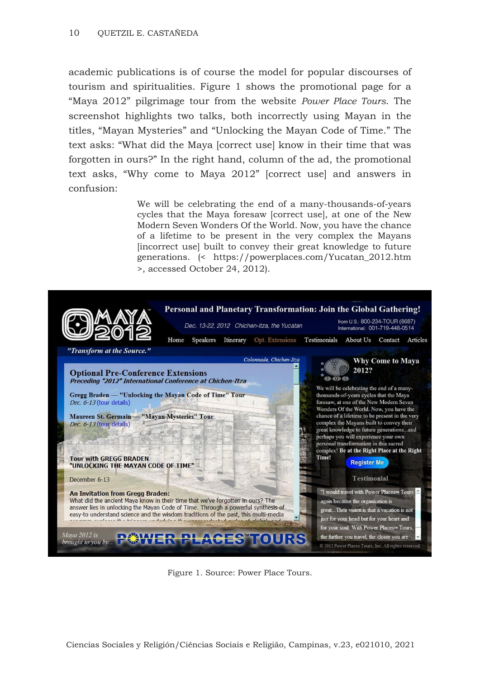academic publications is of course the model for popular discourses of tourism and spiritualities. Figure 1 shows the promotional page for a "Maya 2012" pilgrimage tour from the website *Power Place Tours*. The screenshot highlights two talks, both incorrectly using Mayan in the titles, "Mayan Mysteries" and "Unlocking the Mayan Code of Time." The text asks: "What did the Maya [correct use] know in their time that was forgotten in ours?" In the right hand, column of the ad, the promotional text asks, "Why come to Maya 2012" [correct use] and answers in confusion:

> We will be celebrating the end of a many-thousands-of-years cycles that the Maya foresaw [correct use], at one of the New Modern Seven Wonders Of the World. Now, you have the chance of a lifetime to be present in the very complex the Mayans [incorrect use] built to convey their great knowledge to future generations. (< https://powerplaces.com/Yucatan\_2012.htm >, accessed October 24, 2012).



Figure 1. Source: Power Place Tours.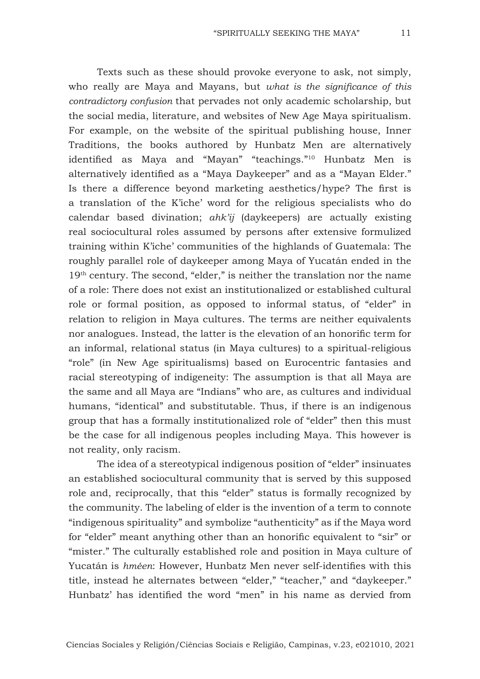Texts such as these should provoke everyone to ask, not simply, who really are Maya and Mayans, but *what is the significance of this contradictory confusion* that pervades not only academic scholarship, but the social media, literature, and websites of New Age Maya spiritualism. For example, on the website of the spiritual publishing house, Inner Traditions, the books authored by Hunbatz Men are alternatively identified as Maya and "Mayan" "teachings."10 Hunbatz Men is alternatively identified as a "Maya Daykeeper" and as a "Mayan Elder." Is there a difference beyond marketing aesthetics/hype? The first is a translation of the K'iche' word for the religious specialists who do calendar based divination; *ahk'ij* (daykeepers) are actually existing real sociocultural roles assumed by persons after extensive formulized training within K'iche' communities of the highlands of Guatemala: The roughly parallel role of daykeeper among Maya of Yucatán ended in the 19<sup>th</sup> century. The second, "elder," is neither the translation nor the name of a role: There does not exist an institutionalized or established cultural role or formal position, as opposed to informal status, of "elder" in relation to religion in Maya cultures. The terms are neither equivalents nor analogues. Instead, the latter is the elevation of an honorific term for an informal, relational status (in Maya cultures) to a spiritual-religious "role" (in New Age spiritualisms) based on Eurocentric fantasies and racial stereotyping of indigeneity: The assumption is that all Maya are the same and all Maya are "Indians" who are, as cultures and individual humans, "identical" and substitutable. Thus, if there is an indigenous group that has a formally institutionalized role of "elder" then this must be the case for all indigenous peoples including Maya. This however is not reality, only racism.

The idea of a stereotypical indigenous position of "elder" insinuates an established sociocultural community that is served by this supposed role and, reciprocally, that this "elder" status is formally recognized by the community. The labeling of elder is the invention of a term to connote "indigenous spirituality" and symbolize "authenticity" as if the Maya word for "elder" meant anything other than an honorific equivalent to "sir" or "mister." The culturally established role and position in Maya culture of Yucatán is *hméen*: However, Hunbatz Men never self-identifies with this title, instead he alternates between "elder," "teacher," and "daykeeper." Hunbatz' has identified the word "men" in his name as dervied from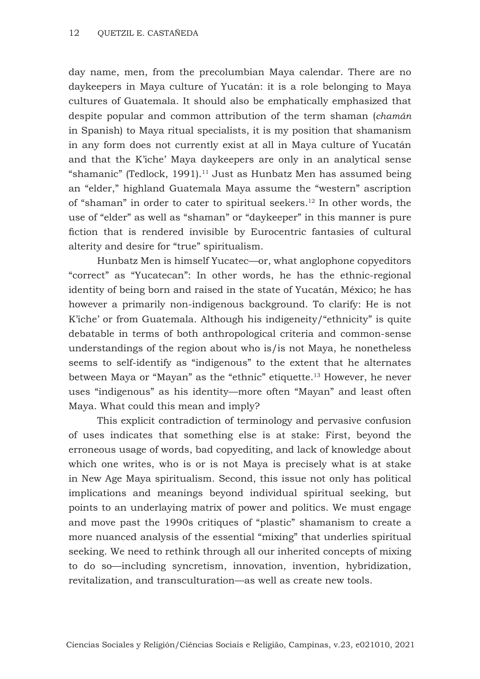day name, men, from the precolumbian Maya calendar. There are no daykeepers in Maya culture of Yucatán: it is a role belonging to Maya cultures of Guatemala. It should also be emphatically emphasized that despite popular and common attribution of the term shaman (*chamán* in Spanish) to Maya ritual specialists, it is my position that shamanism in any form does not currently exist at all in Maya culture of Yucatán and that the K'iche' Maya daykeepers are only in an analytical sense "shamanic" (Tedlock, 1991).<sup>11</sup> Just as Hunbatz Men has assumed being an "elder," highland Guatemala Maya assume the "western" ascription of "shaman" in order to cater to spiritual seekers.12 In other words, the use of "elder" as well as "shaman" or "daykeeper" in this manner is pure fiction that is rendered invisible by Eurocentric fantasies of cultural alterity and desire for "true" spiritualism.

Hunbatz Men is himself Yucatec—or, what anglophone copyeditors "correct" as "Yucatecan": In other words, he has the ethnic-regional identity of being born and raised in the state of Yucatán, México; he has however a primarily non-indigenous background. To clarify: He is not K'iche' or from Guatemala. Although his indigeneity/"ethnicity" is quite debatable in terms of both anthropological criteria and common-sense understandings of the region about who is/is not Maya, he nonetheless seems to self-identify as "indigenous" to the extent that he alternates between Maya or "Mayan" as the "ethnic" etiquette.13 However, he never uses "indigenous" as his identity—more often "Mayan" and least often Maya. What could this mean and imply?

This explicit contradiction of terminology and pervasive confusion of uses indicates that something else is at stake: First, beyond the erroneous usage of words, bad copyediting, and lack of knowledge about which one writes, who is or is not Maya is precisely what is at stake in New Age Maya spiritualism. Second, this issue not only has political implications and meanings beyond individual spiritual seeking, but points to an underlaying matrix of power and politics. We must engage and move past the 1990s critiques of "plastic" shamanism to create a more nuanced analysis of the essential "mixing" that underlies spiritual seeking. We need to rethink through all our inherited concepts of mixing to do so—including syncretism, innovation, invention, hybridization, revitalization, and transculturation—as well as create new tools.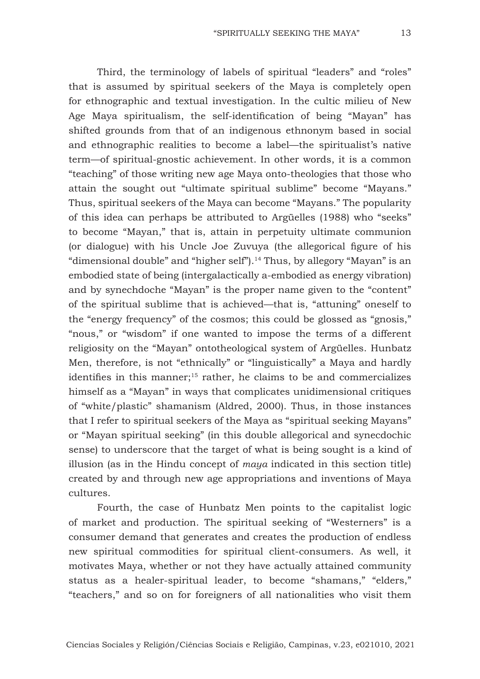Third, the terminology of labels of spiritual "leaders" and "roles" that is assumed by spiritual seekers of the Maya is completely open for ethnographic and textual investigation. In the cultic milieu of New Age Maya spiritualism, the self-identification of being "Mayan" has shifted grounds from that of an indigenous ethnonym based in social and ethnographic realities to become a label—the spiritualist's native term—of spiritual-gnostic achievement. In other words, it is a common "teaching" of those writing new age Maya onto-theologies that those who attain the sought out "ultimate spiritual sublime" become "Mayans." Thus, spiritual seekers of the Maya can become "Mayans." The popularity of this idea can perhaps be attributed to Argüelles (1988) who "seeks" to become "Mayan," that is, attain in perpetuity ultimate communion (or dialogue) with his Uncle Joe Zuvuya (the allegorical figure of his "dimensional double" and "higher self").<sup>14</sup> Thus, by allegory "Mayan" is an embodied state of being (intergalactically a-embodied as energy vibration) and by synechdoche "Mayan" is the proper name given to the "content" of the spiritual sublime that is achieved—that is, "attuning" oneself to the "energy frequency" of the cosmos; this could be glossed as "gnosis," "nous," or "wisdom" if one wanted to impose the terms of a different religiosity on the "Mayan" ontotheological system of Argüelles. Hunbatz Men, therefore, is not "ethnically" or "linguistically" a Maya and hardly identifies in this manner;15 rather, he claims to be and commercializes himself as a "Mayan" in ways that complicates unidimensional critiques of "white/plastic" shamanism (Aldred, 2000). Thus, in those instances that I refer to spiritual seekers of the Maya as "spiritual seeking Mayans" or "Mayan spiritual seeking" (in this double allegorical and synecdochic sense) to underscore that the target of what is being sought is a kind of illusion (as in the Hindu concept of *maya* indicated in this section title) created by and through new age appropriations and inventions of Maya cultures.

Fourth, the case of Hunbatz Men points to the capitalist logic of market and production. The spiritual seeking of "Westerners" is a consumer demand that generates and creates the production of endless new spiritual commodities for spiritual client-consumers. As well, it motivates Maya, whether or not they have actually attained community status as a healer-spiritual leader, to become "shamans," "elders," "teachers," and so on for foreigners of all nationalities who visit them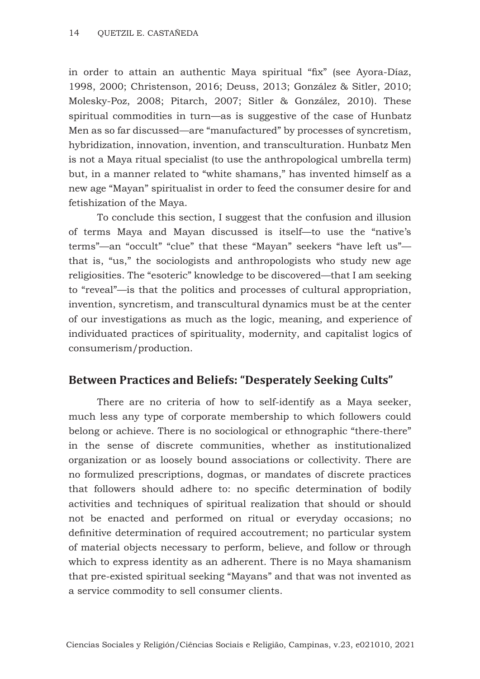in order to attain an authentic Maya spiritual "fix" (see Ayora-Díaz, 1998, 2000; Christenson, 2016; Deuss, 2013; González & Sitler, 2010; Molesky-Poz, 2008; Pitarch, 2007; Sitler & González, 2010). These spiritual commodities in turn—as is suggestive of the case of Hunbatz Men as so far discussed—are "manufactured" by processes of syncretism, hybridization, innovation, invention, and transculturation. Hunbatz Men is not a Maya ritual specialist (to use the anthropological umbrella term) but, in a manner related to "white shamans," has invented himself as a new age "Mayan" spiritualist in order to feed the consumer desire for and fetishization of the Maya.

To conclude this section, I suggest that the confusion and illusion of terms Maya and Mayan discussed is itself—to use the "native's terms"—an "occult" "clue" that these "Mayan" seekers "have left us" that is, "us," the sociologists and anthropologists who study new age religiosities. The "esoteric" knowledge to be discovered—that I am seeking to "reveal"—is that the politics and processes of cultural appropriation, invention, syncretism, and transcultural dynamics must be at the center of our investigations as much as the logic, meaning, and experience of individuated practices of spirituality, modernity, and capitalist logics of consumerism/production.

# **Between Practices and Beliefs: "Desperately Seeking Cults"**

There are no criteria of how to self-identify as a Maya seeker, much less any type of corporate membership to which followers could belong or achieve. There is no sociological or ethnographic "there-there" in the sense of discrete communities, whether as institutionalized organization or as loosely bound associations or collectivity. There are no formulized prescriptions, dogmas, or mandates of discrete practices that followers should adhere to: no specific determination of bodily activities and techniques of spiritual realization that should or should not be enacted and performed on ritual or everyday occasions; no definitive determination of required accoutrement; no particular system of material objects necessary to perform, believe, and follow or through which to express identity as an adherent. There is no Maya shamanism that pre-existed spiritual seeking "Mayans" and that was not invented as a service commodity to sell consumer clients.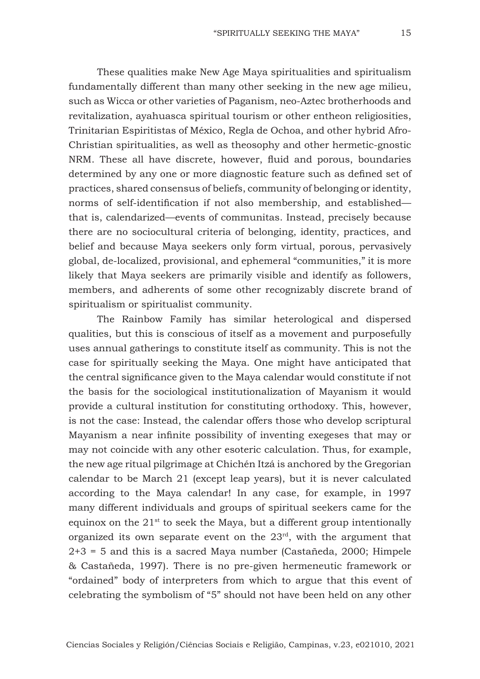These qualities make New Age Maya spiritualities and spiritualism fundamentally different than many other seeking in the new age milieu, such as Wicca or other varieties of Paganism, neo-Aztec brotherhoods and revitalization, ayahuasca spiritual tourism or other entheon religiosities, Trinitarian Espiritistas of México, Regla de Ochoa, and other hybrid Afro-Christian spiritualities, as well as theosophy and other hermetic-gnostic NRM. These all have discrete, however, fluid and porous, boundaries determined by any one or more diagnostic feature such as defined set of practices, shared consensus of beliefs, community of belonging or identity, norms of self-identification if not also membership, and established that is, calendarized—events of communitas. Instead, precisely because there are no sociocultural criteria of belonging, identity, practices, and belief and because Maya seekers only form virtual, porous, pervasively global, de-localized, provisional, and ephemeral "communities," it is more likely that Maya seekers are primarily visible and identify as followers, members, and adherents of some other recognizably discrete brand of spiritualism or spiritualist community.

The Rainbow Family has similar heterological and dispersed qualities, but this is conscious of itself as a movement and purposefully uses annual gatherings to constitute itself as community. This is not the case for spiritually seeking the Maya. One might have anticipated that the central significance given to the Maya calendar would constitute if not the basis for the sociological institutionalization of Mayanism it would provide a cultural institution for constituting orthodoxy. This, however, is not the case: Instead, the calendar offers those who develop scriptural Mayanism a near infinite possibility of inventing exegeses that may or may not coincide with any other esoteric calculation. Thus, for example, the new age ritual pilgrimage at Chichén Itzá is anchored by the Gregorian calendar to be March 21 (except leap years), but it is never calculated according to the Maya calendar! In any case, for example, in 1997 many different individuals and groups of spiritual seekers came for the equinox on the  $21<sup>st</sup>$  to seek the Maya, but a different group intentionally organized its own separate event on the 23rd, with the argument that 2+3 = 5 and this is a sacred Maya number (Castañeda, 2000; Himpele & Castañeda, 1997). There is no pre-given hermeneutic framework or "ordained" body of interpreters from which to argue that this event of celebrating the symbolism of "5" should not have been held on any other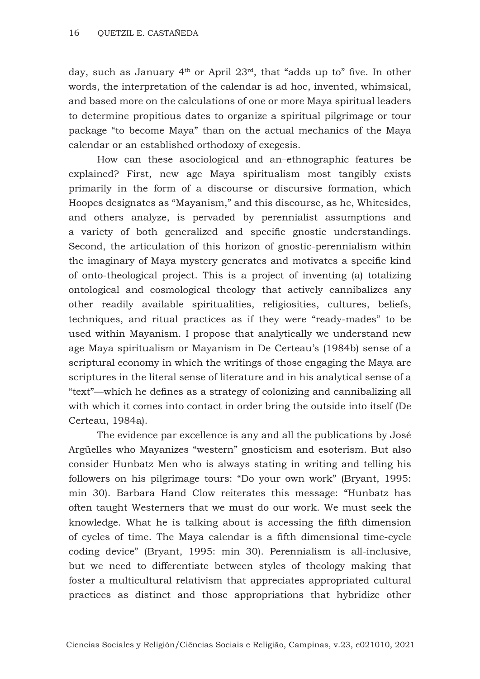day, such as January  $4<sup>th</sup>$  or April  $23<sup>rd</sup>$ , that "adds up to" five. In other words, the interpretation of the calendar is ad hoc, invented, whimsical, and based more on the calculations of one or more Maya spiritual leaders to determine propitious dates to organize a spiritual pilgrimage or tour package "to become Maya" than on the actual mechanics of the Maya calendar or an established orthodoxy of exegesis.

How can these asociological and an–ethnographic features be explained? First, new age Maya spiritualism most tangibly exists primarily in the form of a discourse or discursive formation, which Hoopes designates as "Mayanism," and this discourse, as he, Whitesides, and others analyze, is pervaded by perennialist assumptions and a variety of both generalized and specific gnostic understandings. Second, the articulation of this horizon of gnostic-perennialism within the imaginary of Maya mystery generates and motivates a specific kind of onto-theological project. This is a project of inventing (a) totalizing ontological and cosmological theology that actively cannibalizes any other readily available spiritualities, religiosities, cultures, beliefs, techniques, and ritual practices as if they were "ready-mades" to be used within Mayanism. I propose that analytically we understand new age Maya spiritualism or Mayanism in De Certeau's (1984b) sense of a scriptural economy in which the writings of those engaging the Maya are scriptures in the literal sense of literature and in his analytical sense of a "text"—which he defines as a strategy of colonizing and cannibalizing all with which it comes into contact in order bring the outside into itself (De Certeau, 1984a).

The evidence par excellence is any and all the publications by José Argüelles who Mayanizes "western" gnosticism and esoterism. But also consider Hunbatz Men who is always stating in writing and telling his followers on his pilgrimage tours: "Do your own work" (Bryant, 1995: min 30). Barbara Hand Clow reiterates this message: "Hunbatz has often taught Westerners that we must do our work. We must seek the knowledge. What he is talking about is accessing the fifth dimension of cycles of time. The Maya calendar is a fifth dimensional time-cycle coding device" (Bryant, 1995: min 30). Perennialism is all-inclusive, but we need to differentiate between styles of theology making that foster a multicultural relativism that appreciates appropriated cultural practices as distinct and those appropriations that hybridize other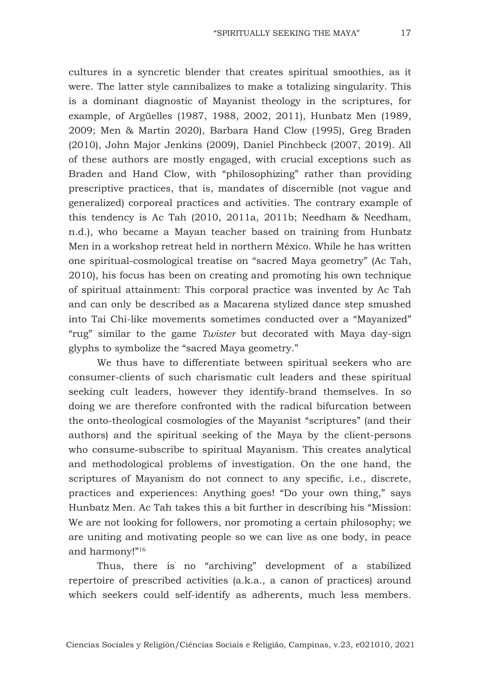cultures in a syncretic blender that creates spiritual smoothies, as it were. The latter style cannibalizes to make a totalizing singularity. This is a dominant diagnostic of Mayanist theology in the scriptures, for example, of Argüelles (1987, 1988, 2002, 2011), Hunbatz Men (1989, 2009; Men & Martin 2020), Barbara Hand Clow (1995), Greg Braden (2010), John Major Jenkins (2009), Daniel Pinchbeck (2007, 2019). All of these authors are mostly engaged, with crucial exceptions such as Braden and Hand Clow, with "philosophizing" rather than providing prescriptive practices, that is, mandates of discernible (not vague and generalized) corporeal practices and activities. The contrary example of this tendency is Ac Tah (2010, 2011a, 2011b; Needham & Needham, n.d.), who became a Mayan teacher based on training from Hunbatz Men in a workshop retreat held in northern México. While he has written one spiritual-cosmological treatise on "sacred Maya geometry" (Ac Tah, 2010), his focus has been on creating and promoting his own technique of spiritual attainment: This corporal practice was invented by Ac Tah and can only be described as a Macarena stylized dance step smushed into Tai Chi-like movements sometimes conducted over a "Mayanized" "rug" similar to the game *Twister* but decorated with Maya day-sign glyphs to symbolize the "sacred Maya geometry."

We thus have to differentiate between spiritual seekers who are consumer-clients of such charismatic cult leaders and these spiritual seeking cult leaders, however they identify-brand themselves. In so doing we are therefore confronted with the radical bifurcation between the onto-theological cosmologies of the Mayanist "scriptures" (and their authors) and the spiritual seeking of the Maya by the client-persons who consume-subscribe to spiritual Mayanism. This creates analytical and methodological problems of investigation. On the one hand, the scriptures of Mayanism do not connect to any specific, i.e., discrete, practices and experiences: Anything goes! "Do your own thing," says Hunbatz Men. Ac Tah takes this a bit further in describing his "Mission: We are not looking for followers, nor promoting a certain philosophy; we are uniting and motivating people so we can live as one body, in peace and harmony!"16

Thus, there is no "archiving" development of a stabilized repertoire of prescribed activities (a.k.a., a canon of practices) around which seekers could self-identify as adherents, much less members.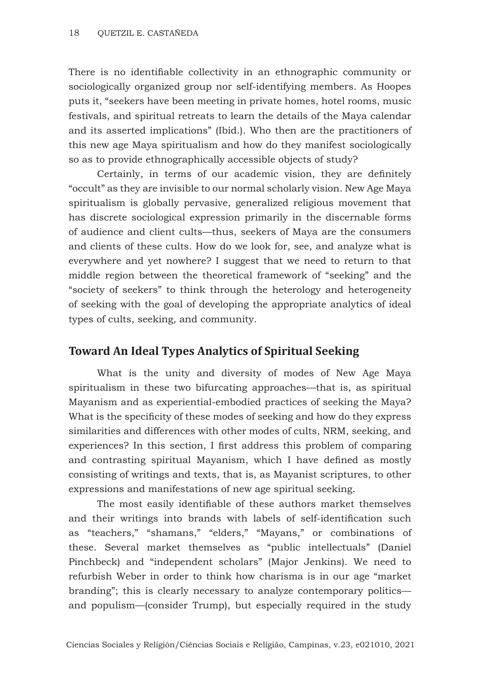There is no identifiable collectivity in an ethnographic community or sociologically organized group nor self-identifying members. As Hoopes puts it, "seekers have been meeting in private homes, hotel rooms, music festivals, and spiritual retreats to learn the details of the Maya calendar and its asserted implications" (Ibid.). Who then are the practitioners of this new age Maya spiritualism and how do they manifest sociologically so as to provide ethnographically accessible objects of study?

Certainly, in terms of our academic vision, they are definitely "occult" as they are invisible to our normal scholarly vision. New Age Maya spiritualism is globally pervasive, generalized religious movement that has discrete sociological expression primarily in the discernable forms of audience and client cults—thus, seekers of Maya are the consumers and clients of these cults. How do we look for, see, and analyze what is everywhere and yet nowhere? I suggest that we need to return to that middle region between the theoretical framework of "seeking" and the "society of seekers" to think through the heterology and heterogeneity of seeking with the goal of developing the appropriate analytics of ideal types of cults, seeking, and community.

# **Toward An Ideal Types Analytics of Spiritual Seeking**

What is the unity and diversity of modes of New Age Maya spiritualism in these two bifurcating approaches—that is, as spiritual Mayanism and as experiential-embodied practices of seeking the Maya? What is the specificity of these modes of seeking and how do they express similarities and differences with other modes of cults, NRM, seeking, and experiences? In this section, I first address this problem of comparing and contrasting spiritual Mayanism, which I have defined as mostly consisting of writings and texts, that is, as Mayanist scriptures, to other expressions and manifestations of new age spiritual seeking.

The most easily identifiable of these authors market themselves and their writings into brands with labels of self-identification such as "teachers," "shamans," "elders," "Mayans," or combinations of these. Several market themselves as "public intellectuals" (Daniel Pinchbeck) and "independent scholars" (Major Jenkins). We need to refurbish Weber in order to think how charisma is in our age "market branding"; this is clearly necessary to analyze contemporary politics and populism—(consider Trump), but especially required in the study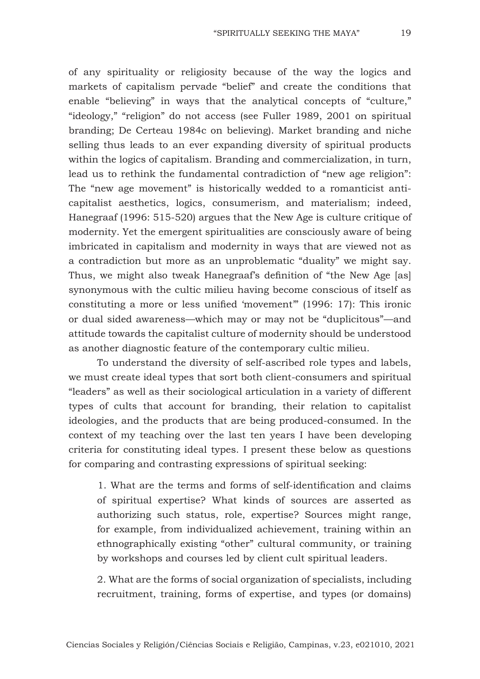of any spirituality or religiosity because of the way the logics and markets of capitalism pervade "belief" and create the conditions that enable "believing" in ways that the analytical concepts of "culture," "ideology," "religion" do not access (see Fuller 1989, 2001 on spiritual branding; De Certeau 1984c on believing). Market branding and niche selling thus leads to an ever expanding diversity of spiritual products within the logics of capitalism. Branding and commercialization, in turn, lead us to rethink the fundamental contradiction of "new age religion": The "new age movement" is historically wedded to a romanticist anticapitalist aesthetics, logics, consumerism, and materialism; indeed, Hanegraaf (1996: 515-520) argues that the New Age is culture critique of modernity. Yet the emergent spiritualities are consciously aware of being imbricated in capitalism and modernity in ways that are viewed not as a contradiction but more as an unproblematic "duality" we might say. Thus, we might also tweak Hanegraaf's definition of "the New Age [as] synonymous with the cultic milieu having become conscious of itself as constituting a more or less unified 'movement'" (1996: 17): This ironic or dual sided awareness—which may or may not be "duplicitous"—and attitude towards the capitalist culture of modernity should be understood as another diagnostic feature of the contemporary cultic milieu.

To understand the diversity of self-ascribed role types and labels, we must create ideal types that sort both client-consumers and spiritual "leaders" as well as their sociological articulation in a variety of different types of cults that account for branding, their relation to capitalist ideologies, and the products that are being produced-consumed. In the context of my teaching over the last ten years I have been developing criteria for constituting ideal types. I present these below as questions for comparing and contrasting expressions of spiritual seeking:

1. What are the terms and forms of self-identification and claims of spiritual expertise? What kinds of sources are asserted as authorizing such status, role, expertise? Sources might range, for example, from individualized achievement, training within an ethnographically existing "other" cultural community, or training by workshops and courses led by client cult spiritual leaders.

2. What are the forms of social organization of specialists, including recruitment, training, forms of expertise, and types (or domains)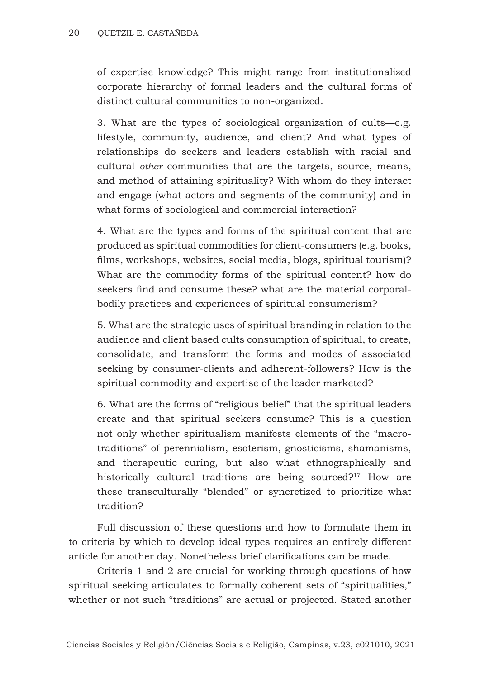of expertise knowledge? This might range from institutionalized corporate hierarchy of formal leaders and the cultural forms of distinct cultural communities to non-organized.

3. What are the types of sociological organization of cults—e.g. lifestyle, community, audience, and client? And what types of relationships do seekers and leaders establish with racial and cultural *other* communities that are the targets, source, means, and method of attaining spirituality? With whom do they interact and engage (what actors and segments of the community) and in what forms of sociological and commercial interaction?

4. What are the types and forms of the spiritual content that are produced as spiritual commodities for client-consumers (e.g. books, films, workshops, websites, social media, blogs, spiritual tourism)? What are the commodity forms of the spiritual content? how do seekers find and consume these? what are the material corporalbodily practices and experiences of spiritual consumerism?

5. What are the strategic uses of spiritual branding in relation to the audience and client based cults consumption of spiritual, to create, consolidate, and transform the forms and modes of associated seeking by consumer-clients and adherent-followers? How is the spiritual commodity and expertise of the leader marketed?

6. What are the forms of "religious belief" that the spiritual leaders create and that spiritual seekers consume? This is a question not only whether spiritualism manifests elements of the "macrotraditions" of perennialism, esoterism, gnosticisms, shamanisms, and therapeutic curing, but also what ethnographically and historically cultural traditions are being sourced?<sup>17</sup> How are these transculturally "blended" or syncretized to prioritize what tradition?

Full discussion of these questions and how to formulate them in to criteria by which to develop ideal types requires an entirely different article for another day. Nonetheless brief clarifications can be made.

Criteria 1 and 2 are crucial for working through questions of how spiritual seeking articulates to formally coherent sets of "spiritualities," whether or not such "traditions" are actual or projected. Stated another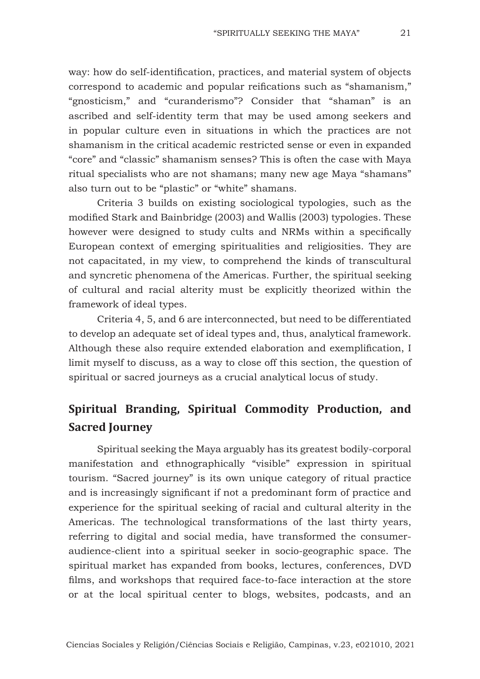way: how do self-identification, practices, and material system of objects correspond to academic and popular reifications such as "shamanism," "gnosticism," and "curanderismo"? Consider that "shaman" is an ascribed and self-identity term that may be used among seekers and in popular culture even in situations in which the practices are not shamanism in the critical academic restricted sense or even in expanded "core" and "classic" shamanism senses? This is often the case with Maya ritual specialists who are not shamans; many new age Maya "shamans" also turn out to be "plastic" or "white" shamans.

Criteria 3 builds on existing sociological typologies, such as the modified Stark and Bainbridge (2003) and Wallis (2003) typologies. These however were designed to study cults and NRMs within a specifically European context of emerging spiritualities and religiosities. They are not capacitated, in my view, to comprehend the kinds of transcultural and syncretic phenomena of the Americas. Further, the spiritual seeking of cultural and racial alterity must be explicitly theorized within the framework of ideal types.

Criteria 4, 5, and 6 are interconnected, but need to be differentiated to develop an adequate set of ideal types and, thus, analytical framework. Although these also require extended elaboration and exemplification, I limit myself to discuss, as a way to close off this section, the question of spiritual or sacred journeys as a crucial analytical locus of study.

# **Spiritual Branding, Spiritual Commodity Production, and Sacred Journey**

Spiritual seeking the Maya arguably has its greatest bodily-corporal manifestation and ethnographically "visible" expression in spiritual tourism. "Sacred journey" is its own unique category of ritual practice and is increasingly significant if not a predominant form of practice and experience for the spiritual seeking of racial and cultural alterity in the Americas. The technological transformations of the last thirty years, referring to digital and social media, have transformed the consumeraudience-client into a spiritual seeker in socio-geographic space. The spiritual market has expanded from books, lectures, conferences, DVD films, and workshops that required face-to-face interaction at the store or at the local spiritual center to blogs, websites, podcasts, and an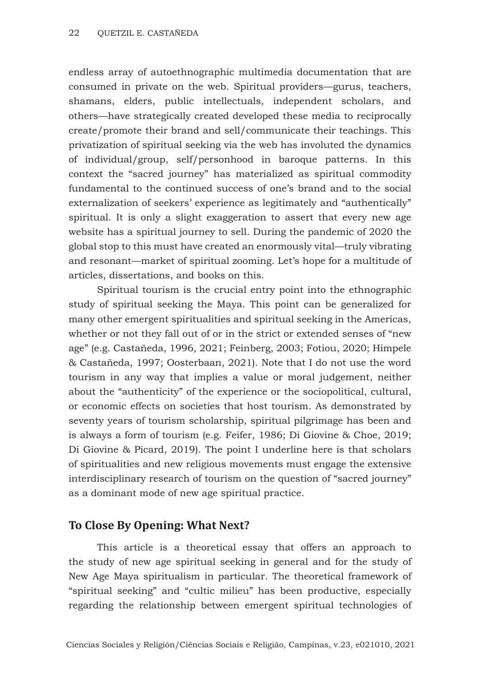endless array of autoethnographic multimedia documentation that are consumed in private on the web. Spiritual providers—gurus, teachers, shamans, elders, public intellectuals, independent scholars, and others—have strategically created developed these media to reciprocally create/promote their brand and sell/communicate their teachings. This privatization of spiritual seeking via the web has involuted the dynamics of individual/group, self/personhood in baroque patterns. In this context the "sacred journey" has materialized as spiritual commodity fundamental to the continued success of one's brand and to the social externalization of seekers' experience as legitimately and "authentically" spiritual. It is only a slight exaggeration to assert that every new age website has a spiritual journey to sell. During the pandemic of 2020 the global stop to this must have created an enormously vital—truly vibrating and resonant—market of spiritual zooming. Let's hope for a multitude of articles, dissertations, and books on this.

Spiritual tourism is the crucial entry point into the ethnographic study of spiritual seeking the Maya. This point can be generalized for many other emergent spiritualities and spiritual seeking in the Americas, whether or not they fall out of or in the strict or extended senses of "new age" (e.g. Castañeda, 1996, 2021; Feinberg, 2003; Fotiou, 2020; Himpele & Castañeda, 1997; Oosterbaan, 2021). Note that I do not use the word tourism in any way that implies a value or moral judgement, neither about the "authenticity" of the experience or the sociopolitical, cultural, or economic effects on societies that host tourism. As demonstrated by seventy years of tourism scholarship, spiritual pilgrimage has been and is always a form of tourism (e.g. Feifer, 1986; Di Giovine & Choe, 2019; Di Giovine & Picard, 2019). The point I underline here is that scholars of spiritualities and new religious movements must engage the extensive interdisciplinary research of tourism on the question of "sacred journey" as a dominant mode of new age spiritual practice.

# **To Close By Opening: What Next?**

This article is a theoretical essay that offers an approach to the study of new age spiritual seeking in general and for the study of New Age Maya spiritualism in particular. The theoretical framework of "spiritual seeking" and "cultic milieu" has been productive, especially regarding the relationship between emergent spiritual technologies of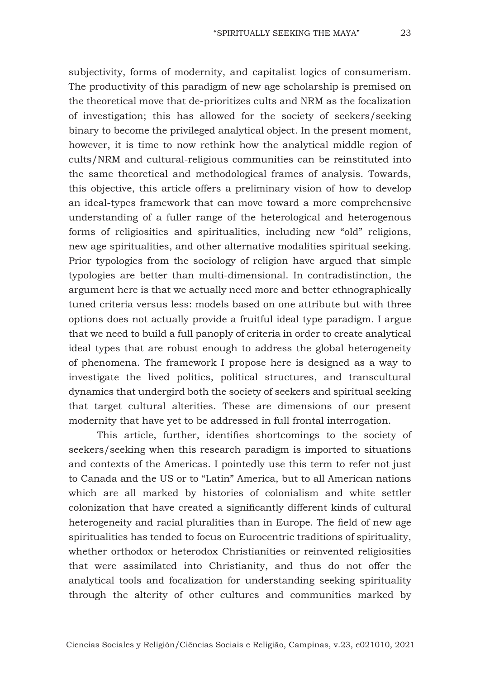subjectivity, forms of modernity, and capitalist logics of consumerism. The productivity of this paradigm of new age scholarship is premised on the theoretical move that de-prioritizes cults and NRM as the focalization of investigation; this has allowed for the society of seekers/seeking binary to become the privileged analytical object. In the present moment, however, it is time to now rethink how the analytical middle region of cults/NRM and cultural-religious communities can be reinstituted into the same theoretical and methodological frames of analysis. Towards, this objective, this article offers a preliminary vision of how to develop an ideal-types framework that can move toward a more comprehensive understanding of a fuller range of the heterological and heterogenous forms of religiosities and spiritualities, including new "old" religions, new age spiritualities, and other alternative modalities spiritual seeking. Prior typologies from the sociology of religion have argued that simple typologies are better than multi-dimensional. In contradistinction, the argument here is that we actually need more and better ethnographically tuned criteria versus less: models based on one attribute but with three options does not actually provide a fruitful ideal type paradigm. I argue that we need to build a full panoply of criteria in order to create analytical ideal types that are robust enough to address the global heterogeneity of phenomena. The framework I propose here is designed as a way to investigate the lived politics, political structures, and transcultural dynamics that undergird both the society of seekers and spiritual seeking that target cultural alterities. These are dimensions of our present modernity that have yet to be addressed in full frontal interrogation.

This article, further, identifies shortcomings to the society of seekers/seeking when this research paradigm is imported to situations and contexts of the Americas. I pointedly use this term to refer not just to Canada and the US or to "Latin" America, but to all American nations which are all marked by histories of colonialism and white settler colonization that have created a significantly different kinds of cultural heterogeneity and racial pluralities than in Europe. The field of new age spiritualities has tended to focus on Eurocentric traditions of spirituality, whether orthodox or heterodox Christianities or reinvented religiosities that were assimilated into Christianity, and thus do not offer the analytical tools and focalization for understanding seeking spirituality through the alterity of other cultures and communities marked by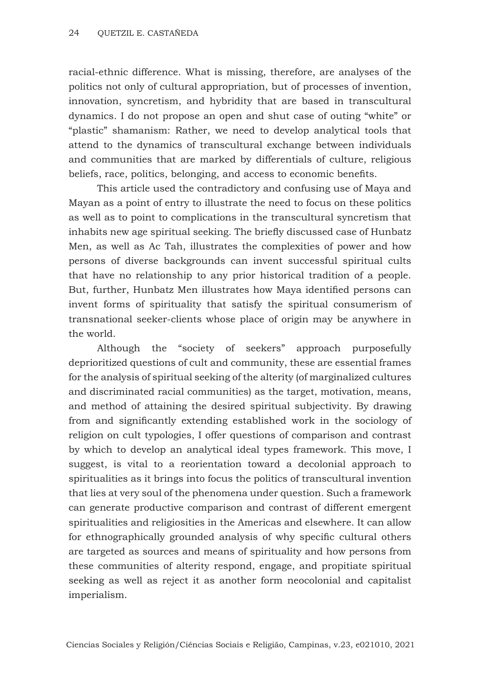racial-ethnic difference. What is missing, therefore, are analyses of the politics not only of cultural appropriation, but of processes of invention, innovation, syncretism, and hybridity that are based in transcultural dynamics. I do not propose an open and shut case of outing "white" or "plastic" shamanism: Rather, we need to develop analytical tools that attend to the dynamics of transcultural exchange between individuals and communities that are marked by differentials of culture, religious beliefs, race, politics, belonging, and access to economic benefits.

This article used the contradictory and confusing use of Maya and Mayan as a point of entry to illustrate the need to focus on these politics as well as to point to complications in the transcultural syncretism that inhabits new age spiritual seeking. The briefly discussed case of Hunbatz Men, as well as Ac Tah, illustrates the complexities of power and how persons of diverse backgrounds can invent successful spiritual cults that have no relationship to any prior historical tradition of a people. But, further, Hunbatz Men illustrates how Maya identified persons can invent forms of spirituality that satisfy the spiritual consumerism of transnational seeker-clients whose place of origin may be anywhere in the world.

Although the "society of seekers" approach purposefully deprioritized questions of cult and community, these are essential frames for the analysis of spiritual seeking of the alterity (of marginalized cultures and discriminated racial communities) as the target, motivation, means, and method of attaining the desired spiritual subjectivity. By drawing from and significantly extending established work in the sociology of religion on cult typologies, I offer questions of comparison and contrast by which to develop an analytical ideal types framework. This move, I suggest, is vital to a reorientation toward a decolonial approach to spiritualities as it brings into focus the politics of transcultural invention that lies at very soul of the phenomena under question. Such a framework can generate productive comparison and contrast of different emergent spiritualities and religiosities in the Americas and elsewhere. It can allow for ethnographically grounded analysis of why specific cultural others are targeted as sources and means of spirituality and how persons from these communities of alterity respond, engage, and propitiate spiritual seeking as well as reject it as another form neocolonial and capitalist imperialism.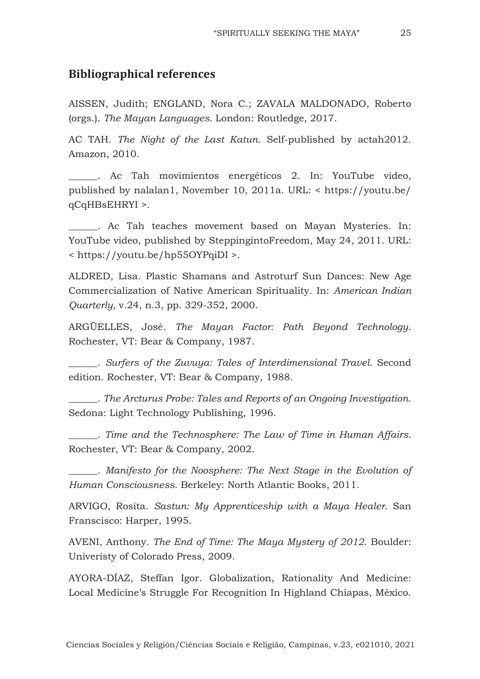#### **Bibliographical references**

AISSEN, Judith; ENGLAND, Nora C.; ZAVALA MALDONADO, Roberto (orgs.). *The Mayan Languages*. London: Routledge, 2017.

AC TAH. *The Night of the Last Katun*. Self-published by actah2012. Amazon, 2010.

\_\_\_\_\_\_. Ac Tah movimientos energéticos 2. In: YouTube video, published by nalalan1, November 10, 2011a. URL: < https://youtu.be/ qCqHBsEHRYI >.

. Ac Tah teaches movement based on Mayan Mysteries. In: YouTube video, published by SteppingintoFreedom, May 24, 2011. URL: < https://youtu.be/hp55OYPqiDI >.

ALDRED, Lisa. Plastic Shamans and Astroturf Sun Dances: New Age Commercialization of Native American Spirituality. In: *American Indian Quarterly,* v.24, n.3, pp. 329-352, 2000.

ARGÜELLES, José. *The Mayan Factor: Path Beyond Technology*. Rochester, VT: Bear & Company, 1987.

\_\_\_\_\_\_. *Surfers of the Zuvuya: Tales of Interdimensional Travel*. Second edition. Rochester, VT: Bear & Company, 1988.

\_\_\_\_\_\_. *The Arcturus Probe: Tales and Reports of an Ongoing Investigation*. Sedona: Light Technology Publishing, 1996.

\_\_\_\_\_\_. *Time and the Technosphere: The Law of Time in Human Affairs*. Rochester, VT: Bear & Company, 2002.

\_\_\_\_\_\_. *Manifesto for the Noosphere: The Next Stage in the Evolution of Human Consciousness*. Berkeley: North Atlantic Books, 2011.

ARVIGO, Rosita. *Sastun: My Apprenticeship with a Maya Healer.* San Franscisco: Harper, 1995.

AVENI, Anthony. *The End of Time: The Maya Mystery of 2012*. Boulder: Univeristy of Colorado Press, 2009.

AYORA-DÍAZ, Steffan Igor. Globalization, Rationality And Medicine: Local Medicine's Struggle For Recognition In Highland Chiapas, México.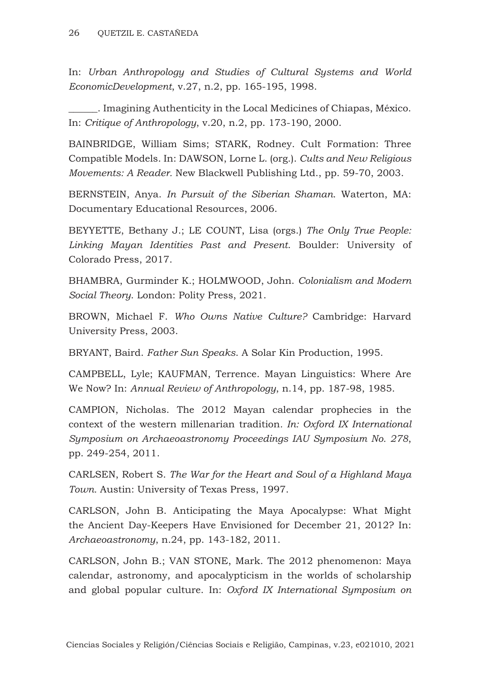In: *Urban Anthropology and Studies of Cultural Systems and World EconomicDevelopment*, v.27, n.2, pp. 165-195, 1998.

\_\_\_\_\_\_. Imagining Authenticity in the Local Medicines of Chiapas, México. In: *Critique of Anthropology*, v.20, n.2, pp. 173-190, 2000.

BAINBRIDGE, William Sims; STARK, Rodney. Cult Formation: Three Compatible Models. In: DAWSON, Lorne L. (org.). *Cults and New Religious Movements: A Reader.* New Blackwell Publishing Ltd., pp. 59-70, 2003.

BERNSTEIN, Anya. *In Pursuit of the Siberian Shaman*. Waterton, MA: Documentary Educational Resources, 2006.

BEYYETTE, Bethany J.; LE COUNT, Lisa (orgs.) *The Only True People: Linking Mayan Identities Past and Present*. Boulder: University of Colorado Press, 2017.

BHAMBRA, Gurminder K.; HOLMWOOD, John. *Colonialism and Modern Social Theory*. London: Polity Press, 2021.

BROWN, Michael F. *Who Owns Native Culture?* Cambridge: Harvard University Press, 2003.

BRYANT, Baird. *Father Sun Speaks*. A Solar Kin Production, 1995.

CAMPBELL, Lyle; KAUFMAN, Terrence. Mayan Linguistics: Where Are We Now? In: *Annual Review of Anthropology*, n.14, pp. 187-98, 1985.

CAMPION, Nicholas. The 2012 Mayan calendar prophecies in the context of the western millenarian tradition*. In: Oxford IX International Symposium on Archaeoastronomy Proceedings IAU Symposium No. 278*, pp. 249-254, 2011.

CARLSEN, Robert S. *The War for the Heart and Soul of a Highland Maya Town.* Austin: University of Texas Press, 1997.

CARLSON, John B. Anticipating the Maya Apocalypse: What Might the Ancient Day-Keepers Have Envisioned for December 21, 2012? In: *Archaeoastronomy*, n.24, pp. 143-182, 2011.

CARLSON, John B.; VAN STONE, Mark. The 2012 phenomenon: Maya calendar, astronomy, and apocalypticism in the worlds of scholarship and global popular culture. In: *Oxford IX International Symposium on*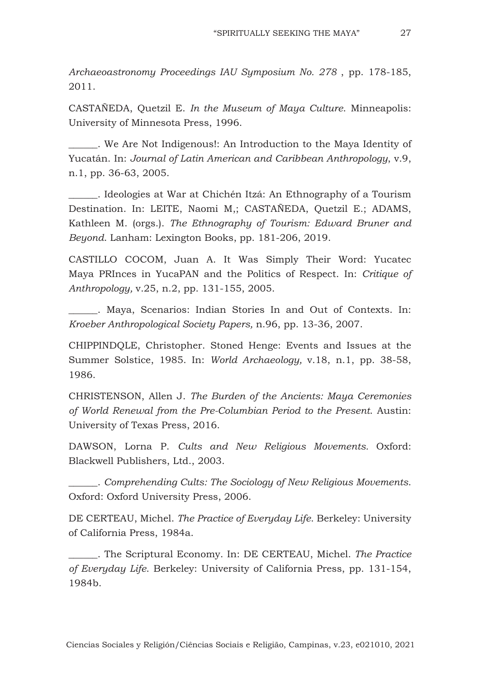*Archaeoastronomy Proceedings IAU Symposium No. 278* , pp. 178-185, 2011.

CASTAÑEDA, Quetzil E. *In the Museum of Maya Culture*. Minneapolis: University of Minnesota Press, 1996.

\_\_\_\_\_\_. We Are Not Indigenous!: An Introduction to the Maya Identity of Yucatán. In: *Journal of Latin American and Caribbean Anthropology*, v.9, n.1, pp. 36-63, 2005.

\_\_\_\_\_\_. Ideologies at War at Chichén Itzá: An Ethnography of a Tourism Destination. In: LEITE, Naomi M,; CASTAÑEDA, Quetzil E.; ADAMS, Kathleen M. (orgs.). *The Ethnography of Tourism: Edward Bruner and Beyond*. Lanham: Lexington Books, pp. 181-206, 2019.

CASTILLO COCOM, Juan A. It Was Simply Their Word: Yucatec Maya PRInces in YucaPAN and the Politics of Respect. In: *Critique of Anthropology,* v.25, n.2, pp. 131-155, 2005.

\_\_\_\_\_\_. Maya, Scenarios: Indian Stories In and Out of Contexts. In: *Kroeber Anthropological Society Papers,* n.96, pp. 13-36, 2007.

CHIPPINDQLE, Christopher. Stoned Henge: Events and Issues at the Summer Solstice, 1985. In: *World Archaeology,* v.18, n.1, pp. 38-58, 1986.

CHRISTENSON, Allen J. *The Burden of the Ancients: Maya Ceremonies of World Renewal from the Pre-Columbian Period to the Present*. Austin: University of Texas Press, 2016.

DAWSON, Lorna P. *Cults and New Religious Movements.* Oxford: Blackwell Publishers, Ltd., 2003.

\_\_\_\_\_\_. *Comprehending Cults: The Sociology of New Religious Movements*. Oxford: Oxford University Press, 2006.

DE CERTEAU, Michel. *The Practice of Everyday Life*. Berkeley: University of California Press, 1984a.

\_\_\_\_\_\_. The Scriptural Economy. In: DE CERTEAU, Michel. *The Practice of Everyday Life*. Berkeley: University of California Press, pp. 131-154, 1984b.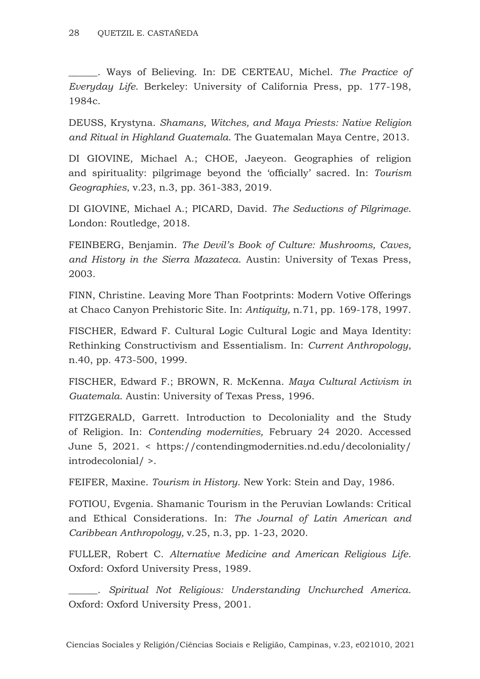\_\_\_\_\_\_. Ways of Believing. In: DE CERTEAU, Michel. *The Practice of Everyday Life*. Berkeley: University of California Press, pp. 177-198, 1984c.

DEUSS, Krystyna. *Shamans, Witches, and Maya Priests: Native Religion and Ritual in Highland Guatemala*. The Guatemalan Maya Centre, 2013.

DI GIOVINE, Michael A.; CHOE, Jaeyeon. Geographies of religion and spirituality: pilgrimage beyond the 'officially' sacred. In: *Tourism Geographies*, v.23, n.3, pp. 361-383, 2019.

DI GIOVINE, Michael A.; PICARD, David. *The Seductions of Pilgrimage*. London: Routledge, 2018.

FEINBERG, Benjamin. *The Devil's Book of Culture: Mushrooms, Caves, and History in the Sierra Mazateca*. Austin: University of Texas Press, 2003.

FINN, Christine. Leaving More Than Footprints: Modern Votive Offerings at Chaco Canyon Prehistoric Site. In: *Antiquity,* n.71, pp. 169-178, 1997.

FISCHER, Edward F. Cultural Logic Cultural Logic and Maya Identity: Rethinking Constructivism and Essentialism. In: *Current Anthropology*, n.40, pp. 473-500, 1999.

FISCHER, Edward F.; BROWN, R. McKenna. *Maya Cultural Activism in Guatemala*. Austin: University of Texas Press, 1996.

FITZGERALD, Garrett. Introduction to Decoloniality and the Study of Religion. In: *Contending modernities,* February 24 2020. Accessed June 5, 2021. < https://contendingmodernities.nd.edu/decoloniality/ introdecolonial/ >.

FEIFER, Maxine. *Tourism in History*. New York: Stein and Day, 1986.

FOTIOU, Evgenia. Shamanic Tourism in the Peruvian Lowlands: Critical and Ethical Considerations. In: *The Journal of Latin American and Caribbean Anthropology,* v.25, n.3, pp. 1-23, 2020.

FULLER, Robert C. *Alternative Medicine and American Religious Life*. Oxford: Oxford University Press, 1989.

\_\_\_\_\_\_. *Spiritual Not Religious: Understanding Unchurched America*. Oxford: Oxford University Press, 2001.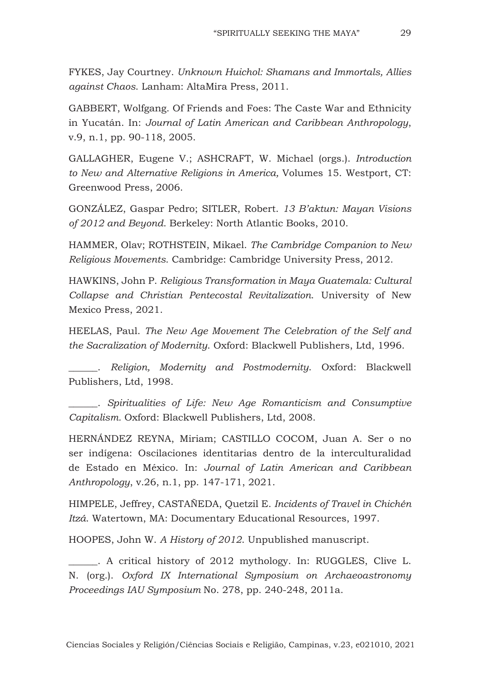FYKES, Jay Courtney. *Unknown Huichol: Shamans and Immortals, Allies against Chaos*. Lanham: AltaMira Press, 2011.

GABBERT, Wolfgang. Of Friends and Foes: The Caste War and Ethnicity in Yucatán. In: *Journal of Latin American and Caribbean Anthropology*, v.9, n.1, pp. 90-118, 2005.

GALLAGHER, Eugene V.; ASHCRAFT, W. Michael (orgs.). *Introduction to New and Alternative Religions in America,* Volumes 15. Westport, CT: Greenwood Press, 2006.

GONZÁLEZ, Gaspar Pedro; SITLER, Robert. *13 B'aktun: Mayan Visions of 2012 and Beyond*. Berkeley: North Atlantic Books, 2010.

HAMMER, Olav; ROTHSTEIN, Mikael. *The Cambridge Companion to New Religious Movements*. Cambridge: Cambridge University Press, 2012.

HAWKINS, John P. *Religious Transformation in Maya Guatemala: Cultural Collapse and Christian Pentecostal Revitalization*. University of New Mexico Press, 2021.

HEELAS, Paul. *The New Age Movement The Celebration of the Self and the Sacralization of Modernity*. Oxford: Blackwell Publishers, Ltd, 1996.

\_\_\_\_\_\_. *Religion, Modernity and Postmodernity*. Oxford: Blackwell Publishers, Ltd, 1998.

\_\_\_\_\_\_. *Spiritualities of Life: New Age Romanticism and Consumptive Capitalism.* Oxford: Blackwell Publishers, Ltd, 2008.

HERNÁNDEZ REYNA, Miriam; CASTILLO COCOM, Juan A. Ser o no ser indígena: Oscilaciones identitarias dentro de la interculturalidad de Estado en México. In: *Journal of Latin American and Caribbean Anthropology*, v.26, n.1, pp. 147-171, 2021.

HIMPELE, Jeffrey, CASTAÑEDA, Quetzil E. *Incidents of Travel in Chichén Itzá*. Watertown, MA: Documentary Educational Resources, 1997.

HOOPES, John W. *A History of 2012*. Unpublished manuscript.

\_\_\_\_\_\_. A critical history of 2012 mythology. In: RUGGLES, Clive L. N. (org.). *Oxford IX International Symposium on Archaeoastronomy Proceedings IAU Symposium* No. 278, pp. 240-248, 2011a.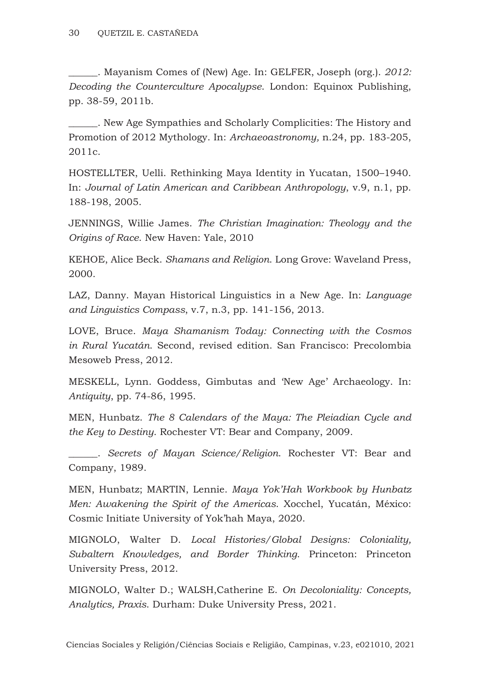\_\_\_\_\_\_. Mayanism Comes of (New) Age. In: GELFER, Joseph (org.). *2012: Decoding the Counterculture Apocalypse*. London: Equinox Publishing, pp. 38-59, 2011b.

\_\_\_\_\_\_. New Age Sympathies and Scholarly Complicities: The History and Promotion of 2012 Mythology. In: *Archaeoastronomy,* n.24, pp. 183-205, 2011c.

HOSTELLTER, Uelli. Rethinking Maya Identity in Yucatan, 1500–1940. In: *Journal of Latin American and Caribbean Anthropology*, v.9, n.1, pp. 188-198, 2005.

JENNINGS, Willie James. *The Christian Imagination: Theology and the Origins of Race*. New Haven: Yale, 2010

KEHOE, Alice Beck. *Shamans and Religion*. Long Grove: Waveland Press, 2000.

LAZ, Danny. Mayan Historical Linguistics in a New Age. In: *Language and Linguistics Compass*, v.7, n.3, pp. 141-156, 2013.

LOVE, Bruce. *Maya Shamanism Today: Connecting with the Cosmos in Rural Yucatán*. Second, revised edition. San Francisco: Precolombia Mesoweb Press, 2012.

MESKELL, Lynn. Goddess, Gimbutas and 'New Age' Archaeology. In: *Antiquity*, pp. 74-86, 1995.

MEN, Hunbatz. *The 8 Calendars of the Maya: The Pleiadian Cycle and the Key to Destiny*. Rochester VT: Bear and Company, 2009.

\_\_\_\_\_\_. *Secrets of Mayan Science/Religion*. Rochester VT: Bear and Company, 1989.

MEN, Hunbatz; MARTIN, Lennie. *Maya Yok'Hah Workbook by Hunbatz Men: Awakening the Spirit of the Americas*. Xocchel, Yucatán, México: Cosmic Initiate University of Yok'hah Maya, 2020.

MIGNOLO, Walter D. *Local Histories/Global Designs: Coloniality, Subaltern Knowledges, and Border Thinking*. Princeton: Princeton University Press, 2012.

MIGNOLO, Walter D.; WALSH,Catherine E. *On Decoloniality: Concepts, Analytics, Praxis*. Durham: Duke University Press, 2021.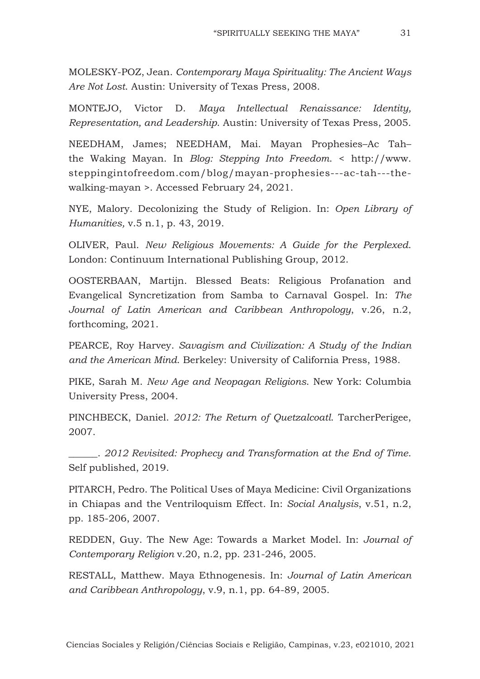MOLESKY-POZ, Jean. *Contemporary Maya Spirituality: The Ancient Ways Are Not Lost*. Austin: University of Texas Press, 2008.

MONTEJO, Victor D. *Maya Intellectual Renaissance: Identity, Representation, and Leadership*. Austin: University of Texas Press, 2005.

NEEDHAM, James; NEEDHAM, Mai. Mayan Prophesies–Ac Tah– the Waking Mayan. In *Blog: Stepping Into Freedom*. < http://www. steppingintofreedom.com/blog/mayan-prophesies---ac-tah---thewalking-mayan >. Accessed February 24, 2021.

NYE, Malory. Decolonizing the Study of Religion. In: *Open Library of Humanities,* v.5 n.1, p. 43, 2019.

OLIVER, Paul. *New Religious Movements: A Guide for the Perplexed*. London: Continuum International Publishing Group, 2012.

OOSTERBAAN, Martijn. Blessed Beats: Religious Profanation and Evangelical Syncretization from Samba to Carnaval Gospel. In: *The Journal of Latin American and Caribbean Anthropology*, v.26, n.2, forthcoming, 2021.

PEARCE, Roy Harvey. *Savagism and Civilization: A Study of the Indian and the American Mind*. Berkeley: University of California Press, 1988.

PIKE, Sarah M. *New Age and Neopagan Religions*. New York: Columbia University Press, 2004.

PINCHBECK, Daniel. *2012: The Return of Quetzalcoatl*. TarcherPerigee, 2007.

\_\_\_\_\_\_. *2012 Revisited: Prophecy and Transformation at the End of Time*. Self published, 2019.

PITARCH, Pedro. The Political Uses of Maya Medicine: Civil Organizations in Chiapas and the Ventriloquism Effect. In: *Social Analysis*, v.51, n.2, pp. 185-206, 2007.

REDDEN, Guy. The New Age: Towards a Market Model. In: *Journal of Contemporary Religion* v.20, n.2, pp. 231-246, 2005.

RESTALL, Matthew. Maya Ethnogenesis. In: *Journal of Latin American and Caribbean Anthropology*, v.9, n.1, pp. 64-89, 2005.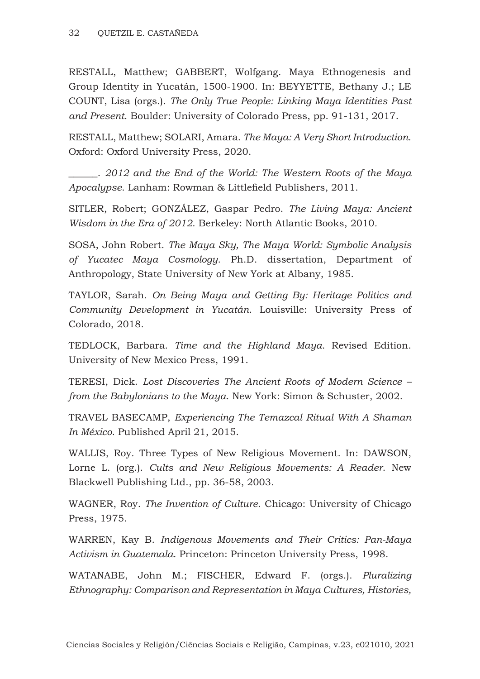RESTALL, Matthew; GABBERT, Wolfgang. Maya Ethnogenesis and Group Identity in Yucatán, 1500-1900. In: BEYYETTE, Bethany J.; LE COUNT, Lisa (orgs.). *The Only True People: Linking Maya Identities Past and Present*. Boulder: University of Colorado Press, pp. 91-131, 2017.

RESTALL, Matthew; SOLARI, Amara. *The Maya: A Very Short Introduction*. Oxford: Oxford University Press, 2020.

\_\_\_\_\_\_. *2012 and the End of the World: The Western Roots of the Maya Apocalypse*. Lanham: Rowman & Littlefield Publishers, 2011.

SITLER, Robert; GONZÁLEZ, Gaspar Pedro. *The Living Maya: Ancient Wisdom in the Era of 2012*. Berkeley: North Atlantic Books, 2010*.*

SOSA, John Robert. *The Maya Sky, The Maya World: Symbolic Analysis of Yucatec Maya Cosmology*. Ph.D. dissertation, Department of Anthropology, State University of New York at Albany, 1985.

TAYLOR, Sarah. *On Being Maya and Getting By: Heritage Politics and Community Development in Yucatán*. Louisville: University Press of Colorado, 2018.

TEDLOCK, Barbara. *Time and the Highland Maya*. Revised Edition. University of New Mexico Press, 1991.

TERESI, Dick. *Lost Discoveries The Ancient Roots of Modern Science – from the Babylonians to the Maya*. New York: Simon & Schuster, 2002.

TRAVEL BASECAMP, *Experiencing The Temazcal Ritual With A Shaman In México*. Published April 21, 2015.

WALLIS, Roy. Three Types of New Religious Movement. In: DAWSON, Lorne L. (org.). *Cults and New Religious Movements: A Reader*. New Blackwell Publishing Ltd., pp. 36-58, 2003.

WAGNER, Roy. *The Invention of Culture*. Chicago: University of Chicago Press, 1975.

WARREN, Kay B. *Indigenous Movements and Their Critics: Pan-Maya Activism in Guatemala*. Princeton: Princeton University Press, 1998.

WATANABE, John M.; FISCHER, Edward F. (orgs.). *Pluralizing Ethnography: Comparison and Representation in Maya Cultures, Histories,*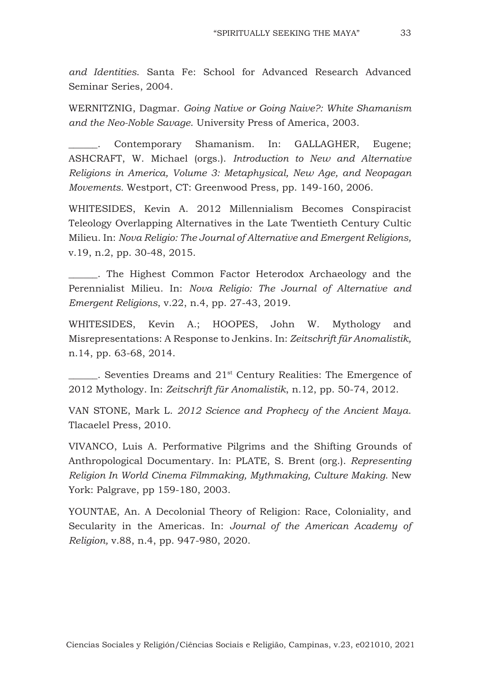*and Identities*. Santa Fe: School for Advanced Research Advanced Seminar Series, 2004.

WERNITZNIG, Dagmar. *Going Native or Going Naive?: White Shamanism and the Neo-Noble Savage*. University Press of America, 2003.

Contemporary Shamanism. In: GALLAGHER, Eugene; ASHCRAFT, W. Michael (orgs.). *Introduction to New and Alternative Religions in America, Volume 3: Metaphysical, New Age, and Neopagan Movements.* Westport, CT: Greenwood Press, pp. 149-160, 2006.

WHITESIDES, Kevin A. 2012 Millennialism Becomes Conspiracist Teleology Overlapping Alternatives in the Late Twentieth Century Cultic Milieu. In: *Nova Religio: The Journal of Alternative and Emergent Religions,* v.19, n.2, pp. 30-48, 2015.

. The Highest Common Factor Heterodox Archaeology and the Perennialist Milieu. In: *Nova Religio: The Journal of Alternative and Emergent Religions*, v.22, n.4, pp. 27-43, 2019.

WHITESIDES, Kevin A.; HOOPES, John W. Mythology and Misrepresentations: A Response to Jenkins. In: *Zeitschrift für Anomalistik,* n.14, pp. 63-68, 2014.

 $\blacksquare$ . Seventies Dreams and 21<sup>st</sup> Century Realities: The Emergence of 2012 Mythology. In: *Zeitschrift für Anomalistik*, n.12, pp. 50-74, 2012.

VAN STONE, Mark L. *2012 Science and Prophecy of the Ancient Maya*. Tlacaelel Press, 2010.

VIVANCO, Luis A. Performative Pilgrims and the Shifting Grounds of Anthropological Documentary. In: PLATE, S. Brent (org.). *Representing Religion In World Cinema Filmmaking, Mythmaking, Culture Making*. New York: Palgrave, pp 159-180, 2003.

YOUNTAE, An. A Decolonial Theory of Religion: Race, Coloniality, and Secularity in the Americas. In: *Journal of the American Academy of Religion,* v.88, n.4, pp. 947-980, 2020.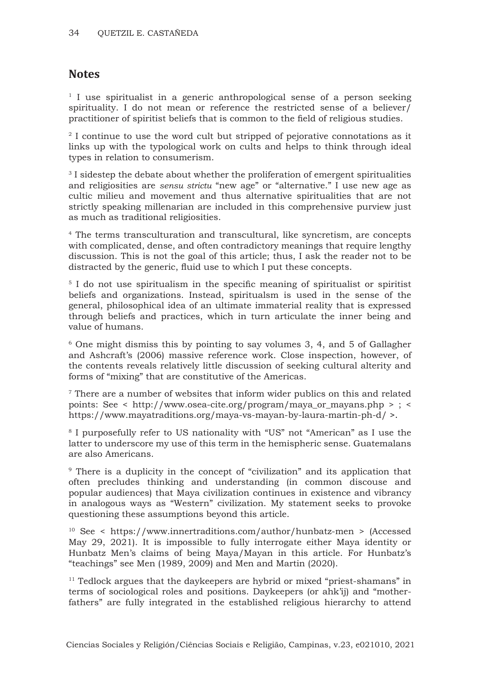### **Notes**

<sup>1</sup> I use spiritualist in a generic anthropological sense of a person seeking spirituality. I do not mean or reference the restricted sense of a believer/ practitioner of spiritist beliefs that is common to the field of religious studies.

<sup>2</sup> I continue to use the word cult but stripped of pejorative connotations as it links up with the typological work on cults and helps to think through ideal types in relation to consumerism.

<sup>3</sup> I sidestep the debate about whether the proliferation of emergent spiritualities and religiosities are *sensu strictu* "new age" or "alternative." I use new age as cultic milieu and movement and thus alternative spiritualities that are not strictly speaking millenarian are included in this comprehensive purview just as much as traditional religiosities.

4 The terms transculturation and transcultural, like syncretism, are concepts with complicated, dense, and often contradictory meanings that require lengthy discussion. This is not the goal of this article; thus, I ask the reader not to be distracted by the generic, fluid use to which I put these concepts.

<sup>5</sup> I do not use spiritualism in the specific meaning of spiritualist or spiritist beliefs and organizations. Instead, spiritualsm is used in the sense of the general, philosophical idea of an ultimate immaterial reality that is expressed through beliefs and practices, which in turn articulate the inner being and value of humans.

6 One might dismiss this by pointing to say volumes 3, 4, and 5 of Gallagher and Ashcraft's (2006) massive reference work. Close inspection, however, of the contents reveals relatively little discussion of seeking cultural alterity and forms of "mixing" that are constitutive of the Americas.

 $7$  There are a number of websites that inform wider publics on this and related points: See < http://www.osea-cite.org/program/maya\_or\_mayans.php > ; < https://www.mayatraditions.org/maya-vs-mayan-by-laura-martin-ph-d/ >.

8 I purposefully refer to US nationality with "US" not "American" as I use the latter to underscore my use of this term in the hemispheric sense. Guatemalans are also Americans.

9 There is a duplicity in the concept of "civilization" and its application that often precludes thinking and understanding (in common discouse and popular audiences) that Maya civilization continues in existence and vibrancy in analogous ways as "Western" civilization. My statement seeks to provoke questioning these assumptions beyond this article.

<sup>10</sup> See < https://www.innertraditions.com/author/hunbatz-men > (Accessed May 29, 2021). It is impossible to fully interrogate either Maya identity or Hunbatz Men's claims of being Maya/Mayan in this article. For Hunbatz's "teachings" see Men (1989, 2009) and Men and Martin (2020).

 $11$  Tedlock argues that the daykeepers are hybrid or mixed "priest-shamans" in terms of sociological roles and positions. Daykeepers (or ahk'ij) and "motherfathers" are fully integrated in the established religious hierarchy to attend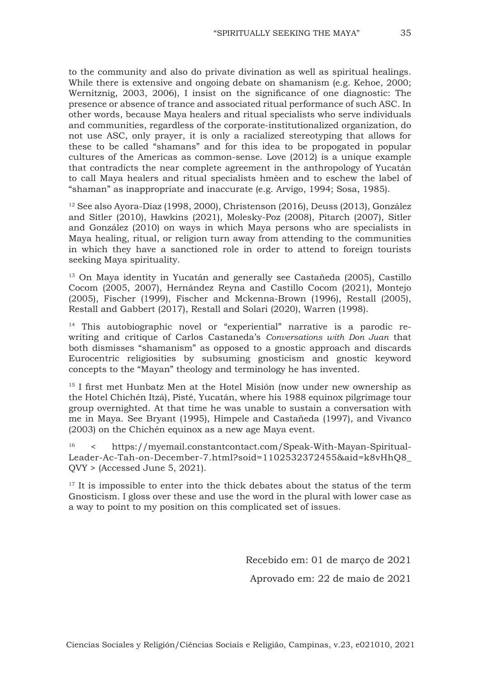to the community and also do private divination as well as spiritual healings. While there is extensive and ongoing debate on shamanism (e.g. Kehoe, 2000; Wernitznig, 2003, 2006), I insist on the significance of one diagnostic: The presence or absence of trance and associated ritual performance of such ASC. In other words, because Maya healers and ritual specialists who serve individuals and communities, regardless of the corporate-institutionalized organization, do not use ASC, only prayer, it is only a racialized stereotyping that allows for these to be called "shamans" and for this idea to be propogated in popular cultures of the Americas as common-sense. Love (2012) is a unique example that contradicts the near complete agreement in the anthropology of Yucatán to call Maya healers and ritual specialists hmèen and to eschew the label of "shaman" as inappropriate and inaccurate (e.g. Arvigo, 1994; Sosa, 1985).

<sup>12</sup> See also Ayora-Díaz (1998, 2000), Christenson (2016), Deuss (2013), González and Sitler (2010), Hawkins (2021), Molesky-Poz (2008), Pitarch (2007), Sitler and González (2010) on ways in which Maya persons who are specialists in Maya healing, ritual, or religion turn away from attending to the communities in which they have a sanctioned role in order to attend to foreign tourists seeking Maya spirituality.

<sup>13</sup> On Maya identity in Yucatán and generally see Castañeda (2005), Castillo Cocom (2005, 2007), Hernández Reyna and Castillo Cocom (2021), Montejo (2005), Fischer (1999), Fischer and Mckenna-Brown (1996), Restall (2005), Restall and Gabbert (2017), Restall and Solari (2020), Warren (1998).

<sup>14</sup> This autobiographic novel or "experiential" narrative is a parodic rewriting and critique of Carlos Castaneda's *Conversations with Don Juan* that both dismisses "shamanism" as opposed to a gnostic approach and discards Eurocentric religiosities by subsuming gnosticism and gnostic keyword concepts to the "Mayan" theology and terminology he has invented.

<sup>15</sup> I first met Hunbatz Men at the Hotel Misión (now under new ownership as the Hotel Chichén Itzá), Pisté, Yucatán, where his 1988 equinox pilgrimage tour group overnighted. At that time he was unable to sustain a conversation with me in Maya. See Bryant (1995), Himpele and Castañeda (1997), and Vivanco (2003) on the Chichén equinox as a new age Maya event.

16 < https://myemail.constantcontact.com/Speak-With-Mayan-Spiritual-Leader-Ac-Tah-on-December-7.html?soid=1102532372455&aid=k8vHhQ8\_ QVY > (Accessed June 5, 2021).

 $17$  It is impossible to enter into the thick debates about the status of the term Gnosticism. I gloss over these and use the word in the plural with lower case as a way to point to my position on this complicated set of issues.

> Recebido em: 01 de março de 2021 Aprovado em: 22 de maio de 2021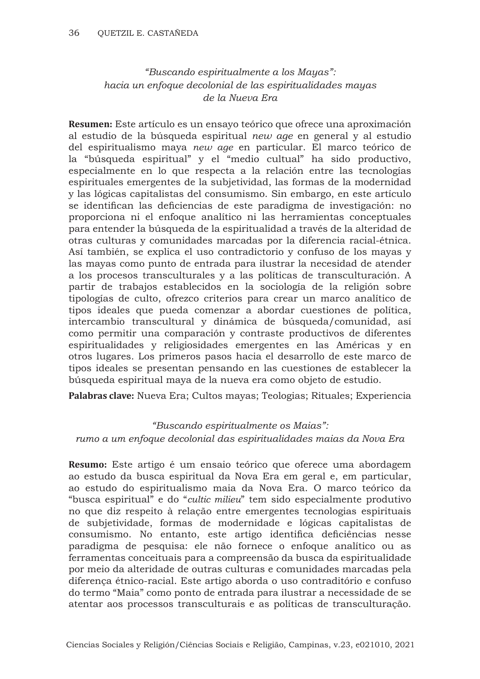## *"Buscando espiritualmente a los Mayas": hacia un enfoque decolonial de las espiritualidades mayas de la Nueva Era*

**Resumen:** Este artículo es un ensayo teórico que ofrece una aproximación al estudio de la búsqueda espiritual *new age* en general y al estudio del espiritualismo maya *new age* en particular. El marco teórico de la "búsqueda espiritual" y el "medio cultual" ha sido productivo, especialmente en lo que respecta a la relación entre las tecnologías espirituales emergentes de la subjetividad, las formas de la modernidad y las lógicas capitalistas del consumismo. Sin embargo, en este artículo se identifican las deficiencias de este paradigma de investigación: no proporciona ni el enfoque analítico ni las herramientas conceptuales para entender la búsqueda de la espiritualidad a través de la alteridad de otras culturas y comunidades marcadas por la diferencia racial-étnica. Así también, se explica el uso contradictorio y confuso de los mayas y las mayas como punto de entrada para ilustrar la necesidad de atender a los procesos transculturales y a las políticas de transculturación. A partir de trabajos establecidos en la sociología de la religión sobre tipologías de culto, ofrezco criterios para crear un marco analítico de tipos ideales que pueda comenzar a abordar cuestiones de política, intercambio transcultural y dinámica de búsqueda/comunidad, así como permitir una comparación y contraste productivos de diferentes espiritualidades y religiosidades emergentes en las Américas y en otros lugares. Los primeros pasos hacia el desarrollo de este marco de tipos ideales se presentan pensando en las cuestiones de establecer la búsqueda espiritual maya de la nueva era como objeto de estudio.

**Palabras clave:** Nueva Era; Cultos mayas; Teologias; Rituales; Experiencia

### *"Buscando espiritualmente os Maias": rumo a um enfoque decolonial das espiritualidades maias da Nova Era*

**Resumo:** Este artigo é um ensaio teórico que oferece uma abordagem ao estudo da busca espiritual da Nova Era em geral e, em particular, ao estudo do espiritualismo maia da Nova Era. O marco teórico da "busca espiritual" e do "*cultic milieu*" tem sido especialmente produtivo no que diz respeito à relação entre emergentes tecnologias espirituais de subjetividade, formas de modernidade e lógicas capitalistas de consumismo. No entanto, este artigo identifica deficiências nesse paradigma de pesquisa: ele não fornece o enfoque analítico ou as ferramentas conceituais para a compreensão da busca da espiritualidade por meio da alteridade de outras culturas e comunidades marcadas pela diferença étnico-racial. Este artigo aborda o uso contraditório e confuso do termo "Maia" como ponto de entrada para ilustrar a necessidade de se atentar aos processos transculturais e as políticas de transculturação.